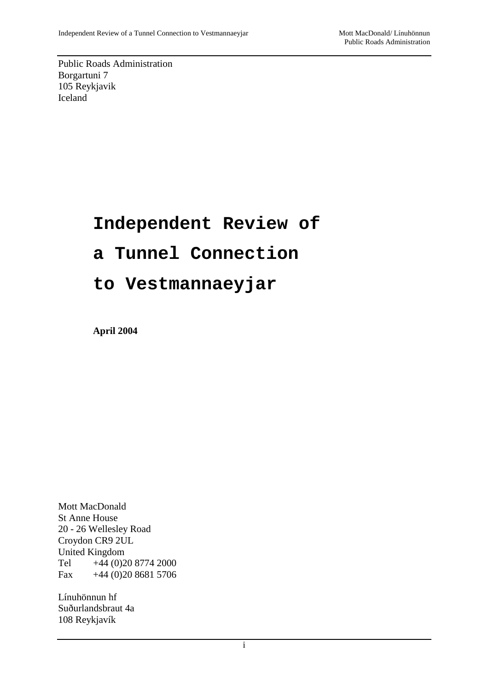Public Roads Administration Borgartuni 7 105 Reykjavik Iceland

# **Independent Review of**

# **a Tunnel Connection**

# **to Vestmannaeyjar**

**April 2004**

Mott MacDonald St Anne House 20 - 26 Wellesley Road Croydon CR9 2UL United Kingdom Tel +44 (0)20 8774 2000 Fax  $+44(0)2086815706$ 

Línuhönnun hf Suðurlandsbraut 4a 108 Reykjavík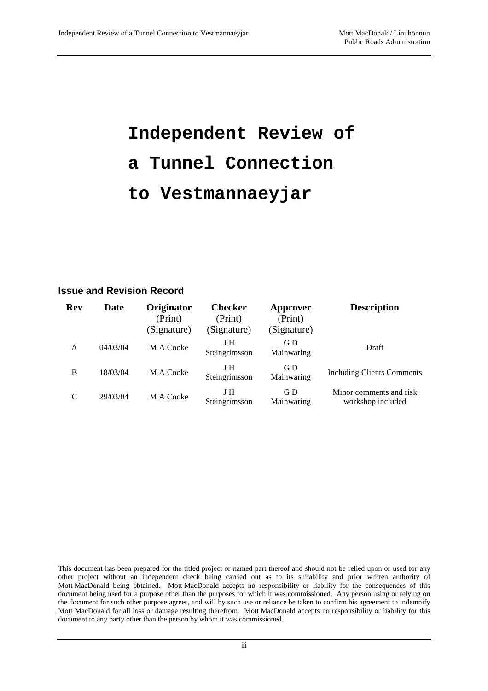# **Independent Review of a Tunnel Connection to Vestmannaeyjar**

#### **Issue and Revision Record**

| <b>Rev</b> | Date     | Originator<br>(Print)<br>(Signature) | <b>Checker</b><br>(Print)<br>(Signature) | Approver<br>(Print)<br>(Signature) | <b>Description</b>                           |
|------------|----------|--------------------------------------|------------------------------------------|------------------------------------|----------------------------------------------|
| A          | 04/03/04 | M A Cooke                            | J H<br>Steingrimsson                     | GD.<br>Mainwaring                  | Draft                                        |
| B          | 18/03/04 | M A Cooke                            | J H<br>Steingrimsson                     | GD.<br>Mainwaring                  | <b>Including Clients Comments</b>            |
| C          | 29/03/04 | M A Cooke                            | J H<br>Steingrimsson                     | G D<br>Mainwaring                  | Minor comments and risk<br>workshop included |

This document has been prepared for the titled project or named part thereof and should not be relied upon or used for any other project without an independent check being carried out as to its suitability and prior written authority of Mott MacDonald being obtained. Mott MacDonald accepts no responsibility or liability for the consequences of this document being used for a purpose other than the purposes for which it was commissioned. Any person using or relying on the document for such other purpose agrees, and will by such use or reliance be taken to confirm his agreement to indemnify Mott MacDonald for all loss or damage resulting therefrom. Mott MacDonald accepts no responsibility or liability for this document to any party other than the person by whom it was commissioned.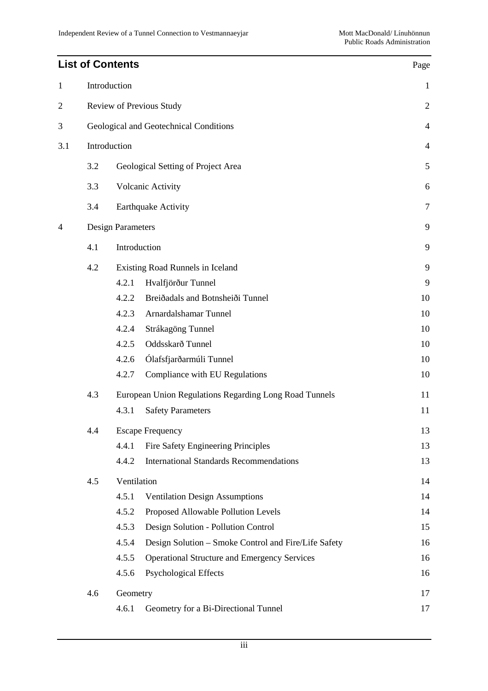# **List of Contents** Page 1 Introduction 1 2 Review of Previous Study 2 3 Geological and Geotechnical Conditions 4 3.1 Introduction 4 3.2 Geological Setting of Project Area 5 3.3 Volcanic Activity 6 3.4 Earthquake Activity 7 4 Design Parameters 9 4.1 Introduction 9 4.2 Existing Road Runnels in Iceland 9 4.2.1 Hvalfjörður Tunnel 9 4.2.2 Breiðadals and Botnsheiði Tunnel 10 4.2.3 Arnardalshamar Tunnel 10 4.2.4 Strákagöng Tunnel 10 4.2.5 Oddsskarð Tunnel 10 4.2.6 Ólafsfjarðarmúli Tunnel 10 4.2.7 Compliance with EU Regulations 10 4.3 European Union Regulations Regarding Long Road Tunnels 11 4.3.1 Safety Parameters 11 4.4 Escape Frequency 13 4.4.1 Fire Safety Engineering Principles 13 4.4.2 International Standards Recommendations 13 4.5 Ventilation 14 4.5.1 Ventilation Design Assumptions 14 4.5.2 Proposed Allowable Pollution Levels 14 4.5.3 Design Solution - Pollution Control 15 4.5.4 Design Solution – Smoke Control and Fire/Life Safety 16 4.5.5 Operational Structure and Emergency Services 16 4.5.6 Psychological Effects 16 4.6 Geometry 17 4.6.1 Geometry for a Bi-Directional Tunnel 17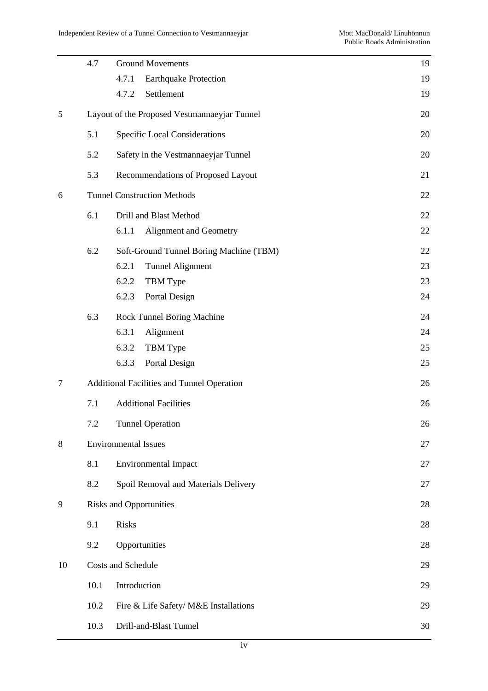|        | 4.7  | <b>Ground Movements</b>                           | 19 |  |
|--------|------|---------------------------------------------------|----|--|
|        |      | 4.7.1<br><b>Earthquake Protection</b>             | 19 |  |
|        |      | Settlement<br>4.7.2                               | 19 |  |
| 5      |      | Layout of the Proposed Vestmannaeyjar Tunnel      | 20 |  |
|        | 5.1  | Specific Local Considerations                     | 20 |  |
|        | 5.2  | Safety in the Vestmannaeyjar Tunnel               | 20 |  |
|        | 5.3  | Recommendations of Proposed Layout                | 21 |  |
| 6      |      | <b>Tunnel Construction Methods</b>                | 22 |  |
|        | 6.1  | Drill and Blast Method                            | 22 |  |
|        |      | 6.1.1<br>Alignment and Geometry                   | 22 |  |
|        | 6.2  | Soft-Ground Tunnel Boring Machine (TBM)           | 22 |  |
|        |      | <b>Tunnel Alignment</b><br>6.2.1                  | 23 |  |
|        |      | 6.2.2<br>TBM Type                                 | 23 |  |
|        |      | 6.2.3<br>Portal Design                            | 24 |  |
|        | 6.3  | Rock Tunnel Boring Machine                        | 24 |  |
|        |      | 6.3.1<br>Alignment                                | 24 |  |
|        |      | 6.3.2<br>TBM Type                                 | 25 |  |
|        |      | 6.3.3<br>Portal Design                            | 25 |  |
| $\tau$ |      | <b>Additional Facilities and Tunnel Operation</b> |    |  |
|        | 7.1  | <b>Additional Facilities</b>                      | 26 |  |
|        | 7.2  | <b>Tunnel Operation</b>                           | 26 |  |
| $8\,$  |      | <b>Environmental Issues</b>                       | 27 |  |
|        | 8.1  | <b>Environmental Impact</b>                       | 27 |  |
|        | 8.2  | Spoil Removal and Materials Delivery              | 27 |  |
| 9      |      | <b>Risks and Opportunities</b>                    | 28 |  |
|        | 9.1  | Risks                                             | 28 |  |
|        | 9.2  | Opportunities                                     | 28 |  |
| 10     |      | <b>Costs and Schedule</b>                         | 29 |  |
|        | 10.1 | Introduction                                      | 29 |  |
|        | 10.2 | Fire & Life Safety/ M&E Installations             | 29 |  |
|        | 10.3 | Drill-and-Blast Tunnel                            | 30 |  |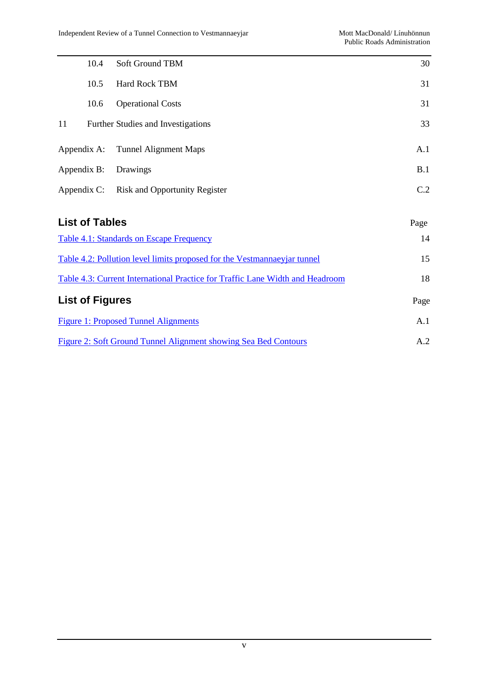|                                                 | 10.4                  | <b>Soft Ground TBM</b>               | 30   |
|-------------------------------------------------|-----------------------|--------------------------------------|------|
|                                                 | 10.5                  | <b>Hard Rock TBM</b>                 | 31   |
|                                                 | 10.6                  | <b>Operational Costs</b>             | 31   |
| 11                                              |                       | Further Studies and Investigations   | 33   |
| Appendix A:                                     |                       | <b>Tunnel Alignment Maps</b>         | A.1  |
| Appendix B:                                     |                       | Drawings                             | B.1  |
| Appendix C:                                     |                       | <b>Risk and Opportunity Register</b> | C.2  |
|                                                 | <b>List of Tables</b> |                                      | Page |
| <b>Table 4.1: Standards on Escape Frequency</b> |                       |                                      | 14   |

| Table 4.2: Pollution level limits proposed for the Vestmannaeyjar tunnel      | 15   |
|-------------------------------------------------------------------------------|------|
| Table 4.3: Current International Practice for Traffic Lane Width and Headroom | 18   |
| <b>List of Figures</b>                                                        | Page |
| Figure 1: Proposed Tunnel Alignments                                          | A.1  |
| Figure 2: Soft Ground Tunnel Alignment showing Sea Bed Contours               | A 2. |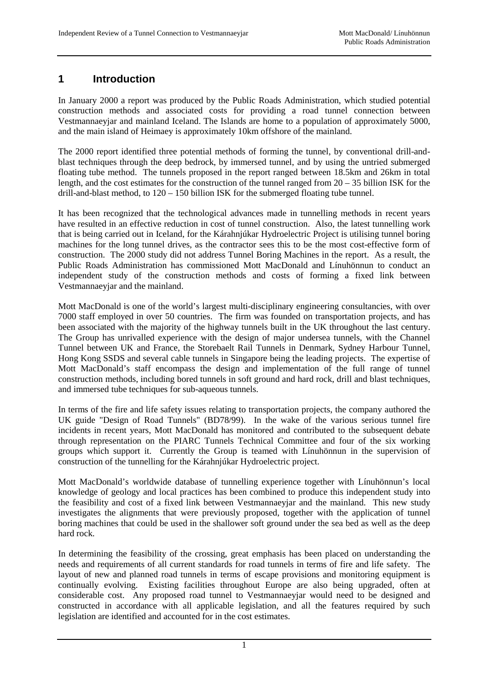### **1 Introduction**

In January 2000 a report was produced by the Public Roads Administration, which studied potential construction methods and associated costs for providing a road tunnel connection between Vestmannaeyjar and mainland Iceland. The Islands are home to a population of approximately 5000, and the main island of Heimaey is approximately 10km offshore of the mainland.

The 2000 report identified three potential methods of forming the tunnel, by conventional drill-andblast techniques through the deep bedrock, by immersed tunnel, and by using the untried submerged floating tube method. The tunnels proposed in the report ranged between 18.5km and 26km in total length, and the cost estimates for the construction of the tunnel ranged from 20 – 35 billion ISK for the drill-and-blast method, to 120 – 150 billion ISK for the submerged floating tube tunnel.

It has been recognized that the technological advances made in tunnelling methods in recent years have resulted in an effective reduction in cost of tunnel construction. Also, the latest tunnelling work that is being carried out in Iceland, for the Kárahnjúkar Hydroelectric Project is utilising tunnel boring machines for the long tunnel drives, as the contractor sees this to be the most cost-effective form of construction. The 2000 study did not address Tunnel Boring Machines in the report. As a result, the Public Roads Administration has commissioned Mott MacDonald and Línuhönnun to conduct an independent study of the construction methods and costs of forming a fixed link between Vestmannaeyjar and the mainland.

Mott MacDonald is one of the world's largest multi-disciplinary engineering consultancies, with over 7000 staff employed in over 50 countries. The firm was founded on transportation projects, and has been associated with the majority of the highway tunnels built in the UK throughout the last century. The Group has unrivalled experience with the design of major undersea tunnels, with the Channel Tunnel between UK and France, the Storebaelt Rail Tunnels in Denmark, Sydney Harbour Tunnel, Hong Kong SSDS and several cable tunnels in Singapore being the leading projects. The expertise of Mott MacDonald's staff encompass the design and implementation of the full range of tunnel construction methods, including bored tunnels in soft ground and hard rock, drill and blast techniques, and immersed tube techniques for sub-aqueous tunnels.

In terms of the fire and life safety issues relating to transportation projects, the company authored the UK guide "Design of Road Tunnels" (BD78/99). In the wake of the various serious tunnel fire incidents in recent years, Mott MacDonald has monitored and contributed to the subsequent debate through representation on the PIARC Tunnels Technical Committee and four of the six working groups which support it. Currently the Group is teamed with Línuhönnun in the supervision of construction of the tunnelling for the Kárahnjúkar Hydroelectric project.

Mott MacDonald's worldwide database of tunnelling experience together with Línuhönnun's local knowledge of geology and local practices has been combined to produce this independent study into the feasibility and cost of a fixed link between Vestmannaeyjar and the mainland. This new study investigates the alignments that were previously proposed, together with the application of tunnel boring machines that could be used in the shallower soft ground under the sea bed as well as the deep hard rock.

In determining the feasibility of the crossing, great emphasis has been placed on understanding the needs and requirements of all current standards for road tunnels in terms of fire and life safety. The layout of new and planned road tunnels in terms of escape provisions and monitoring equipment is continually evolving. Existing facilities throughout Europe are also being upgraded, often at considerable cost. Any proposed road tunnel to Vestmannaeyjar would need to be designed and constructed in accordance with all applicable legislation, and all the features required by such legislation are identified and accounted for in the cost estimates.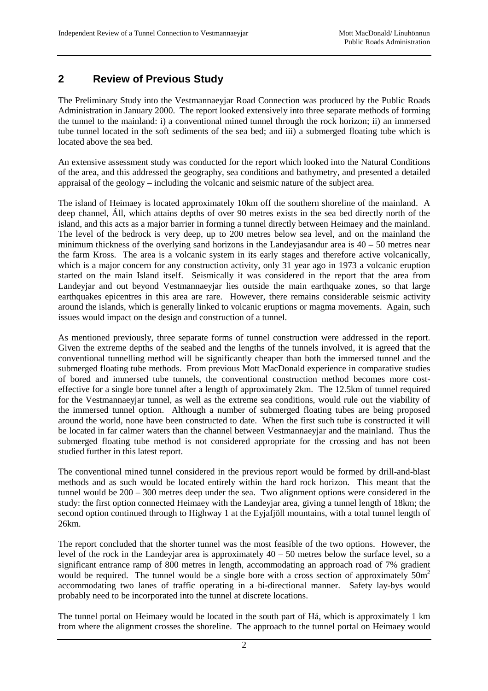#### **2 Review of Previous Study**

The Preliminary Study into the Vestmannaeyjar Road Connection was produced by the Public Roads Administration in January 2000. The report looked extensively into three separate methods of forming the tunnel to the mainland: i) a conventional mined tunnel through the rock horizon; ii) an immersed tube tunnel located in the soft sediments of the sea bed; and iii) a submerged floating tube which is located above the sea bed.

An extensive assessment study was conducted for the report which looked into the Natural Conditions of the area, and this addressed the geography, sea conditions and bathymetry, and presented a detailed appraisal of the geology – including the volcanic and seismic nature of the subject area.

The island of Heimaey is located approximately 10km off the southern shoreline of the mainland. A deep channel, Áll, which attains depths of over 90 metres exists in the sea bed directly north of the island, and this acts as a major barrier in forming a tunnel directly between Heimaey and the mainland. The level of the bedrock is very deep, up to 200 metres below sea level, and on the mainland the minimum thickness of the overlying sand horizons in the Landeyjasandur area is  $40 - 50$  metres near the farm Kross. The area is a volcanic system in its early stages and therefore active volcanically, which is a major concern for any construction activity, only 31 year ago in 1973 a volcanic eruption started on the main Island itself. Seismically it was considered in the report that the area from Landeyjar and out beyond Vestmannaeyjar lies outside the main earthquake zones, so that large earthquakes epicentres in this area are rare. However, there remains considerable seismic activity around the islands, which is generally linked to volcanic eruptions or magma movements. Again, such issues would impact on the design and construction of a tunnel.

As mentioned previously, three separate forms of tunnel construction were addressed in the report. Given the extreme depths of the seabed and the lengths of the tunnels involved, it is agreed that the conventional tunnelling method will be significantly cheaper than both the immersed tunnel and the submerged floating tube methods. From previous Mott MacDonald experience in comparative studies of bored and immersed tube tunnels, the conventional construction method becomes more costeffective for a single bore tunnel after a length of approximately 2km. The 12.5km of tunnel required for the Vestmannaeyjar tunnel, as well as the extreme sea conditions, would rule out the viability of the immersed tunnel option. Although a number of submerged floating tubes are being proposed around the world, none have been constructed to date. When the first such tube is constructed it will be located in far calmer waters than the channel between Vestmannaeyjar and the mainland. Thus the submerged floating tube method is not considered appropriate for the crossing and has not been studied further in this latest report.

The conventional mined tunnel considered in the previous report would be formed by drill-and-blast methods and as such would be located entirely within the hard rock horizon. This meant that the tunnel would be 200 – 300 metres deep under the sea. Two alignment options were considered in the study: the first option connected Heimaey with the Landeyjar area, giving a tunnel length of 18km; the second option continued through to Highway 1 at the Eyjafjöll mountains, with a total tunnel length of 26km.

The report concluded that the shorter tunnel was the most feasible of the two options. However, the level of the rock in the Landeviar area is approximately  $40 - 50$  metres below the surface level, so a significant entrance ramp of 800 metres in length, accommodating an approach road of 7% gradient would be required. The tunnel would be a single bore with a cross section of approximately  $50m^2$ accommodating two lanes of traffic operating in a bi-directional manner. Safety lay-bys would probably need to be incorporated into the tunnel at discrete locations.

The tunnel portal on Heimaey would be located in the south part of Há, which is approximately 1 km from where the alignment crosses the shoreline. The approach to the tunnel portal on Heimaey would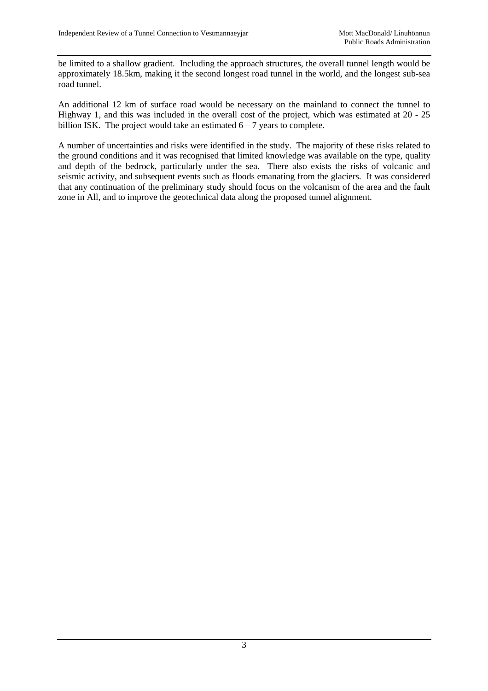be limited to a shallow gradient. Including the approach structures, the overall tunnel length would be approximately 18.5km, making it the second longest road tunnel in the world, and the longest sub-sea road tunnel.

An additional 12 km of surface road would be necessary on the mainland to connect the tunnel to Highway 1, and this was included in the overall cost of the project, which was estimated at 20 - 25 billion ISK. The project would take an estimated  $6 - 7$  years to complete.

A number of uncertainties and risks were identified in the study. The majority of these risks related to the ground conditions and it was recognised that limited knowledge was available on the type, quality and depth of the bedrock, particularly under the sea. There also exists the risks of volcanic and seismic activity, and subsequent events such as floods emanating from the glaciers. It was considered that any continuation of the preliminary study should focus on the volcanism of the area and the fault zone in All, and to improve the geotechnical data along the proposed tunnel alignment.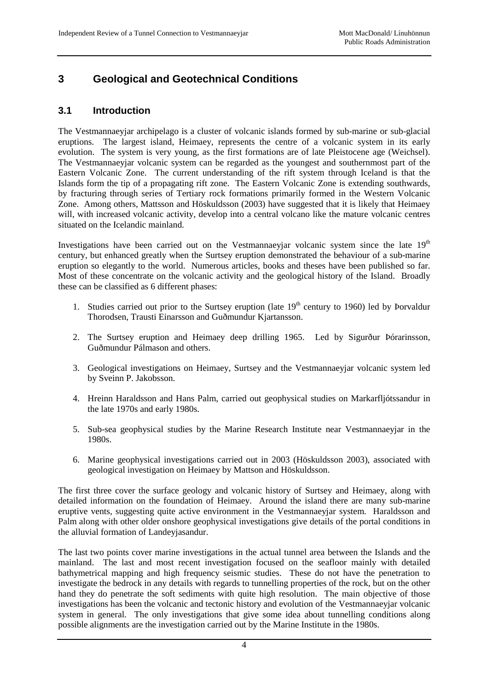# **3 Geological and Geotechnical Conditions**

#### **3.1 Introduction**

The Vestmannaeyjar archipelago is a cluster of volcanic islands formed by sub-marine or sub-glacial eruptions. The largest island, Heimaey, represents the centre of a volcanic system in its early evolution. The system is very young, as the first formations are of late Pleistocene age (Weichsel). The Vestmannaeyjar volcanic system can be regarded as the youngest and southernmost part of the Eastern Volcanic Zone. The current understanding of the rift system through Iceland is that the Islands form the tip of a propagating rift zone. The Eastern Volcanic Zone is extending southwards, by fracturing through series of Tertiary rock formations primarily formed in the Western Volcanic Zone. Among others, Mattsson and Höskuldsson (2003) have suggested that it is likely that Heimaey will, with increased volcanic activity, develop into a central volcano like the mature volcanic centres situated on the Icelandic mainland.

Investigations have been carried out on the Vestmannaeyjar volcanic system since the late 19<sup>th</sup> century, but enhanced greatly when the Surtsey eruption demonstrated the behaviour of a sub-marine eruption so elegantly to the world. Numerous articles, books and theses have been published so far. Most of these concentrate on the volcanic activity and the geological history of the Island. Broadly these can be classified as 6 different phases:

- 1. Studies carried out prior to the Surtsey eruption (late  $19<sup>th</sup>$  century to 1960) led by Porvaldur Thorodsen, Trausti Einarsson and Guðmundur Kjartansson.
- 2. The Surtsey eruption and Heimaey deep drilling 1965. Led by Sigurður Þórarinsson, Guðmundur Pálmason and others.
- 3. Geological investigations on Heimaey, Surtsey and the Vestmannaeyjar volcanic system led by Sveinn P. Jakobsson.
- 4. Hreinn Haraldsson and Hans Palm, carried out geophysical studies on Markarfljótssandur in the late 1970s and early 1980s.
- 5. Sub-sea geophysical studies by the Marine Research Institute near Vestmannaeyjar in the 1980s.
- 6. Marine geophysical investigations carried out in 2003 (Höskuldsson 2003), associated with geological investigation on Heimaey by Mattson and Höskuldsson.

The first three cover the surface geology and volcanic history of Surtsey and Heimaey, along with detailed information on the foundation of Heimaey. Around the island there are many sub-marine eruptive vents, suggesting quite active environment in the Vestmannaeyjar system. Haraldsson and Palm along with other older onshore geophysical investigations give details of the portal conditions in the alluvial formation of Landeyjasandur.

The last two points cover marine investigations in the actual tunnel area between the Islands and the mainland. The last and most recent investigation focused on the seafloor mainly with detailed bathymetrical mapping and high frequency seismic studies. These do not have the penetration to investigate the bedrock in any details with regards to tunnelling properties of the rock, but on the other hand they do penetrate the soft sediments with quite high resolution. The main objective of those investigations has been the volcanic and tectonic history and evolution of the Vestmannaeyjar volcanic system in general. The only investigations that give some idea about tunnelling conditions along possible alignments are the investigation carried out by the Marine Institute in the 1980s.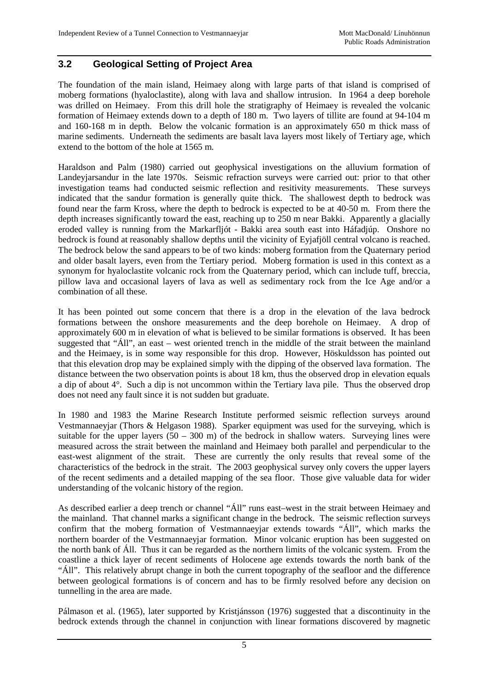#### **3.2 Geological Setting of Project Area**

The foundation of the main island, Heimaey along with large parts of that island is comprised of moberg formations (hyaloclastite), along with lava and shallow intrusion. In 1964 a deep borehole was drilled on Heimaey. From this drill hole the stratigraphy of Heimaey is revealed the volcanic formation of Heimaey extends down to a depth of 180 m. Two layers of tillite are found at 94-104 m and 160-168 m in depth. Below the volcanic formation is an approximately 650 m thick mass of marine sediments. Underneath the sediments are basalt lava layers most likely of Tertiary age, which extend to the bottom of the hole at 1565 m.

Haraldson and Palm (1980) carried out geophysical investigations on the alluvium formation of Landeyjarsandur in the late 1970s. Seismic refraction surveys were carried out: prior to that other investigation teams had conducted seismic reflection and resitivity measurements. These surveys indicated that the sandur formation is generally quite thick. The shallowest depth to bedrock was found near the farm Kross, where the depth to bedrock is expected to be at 40-50 m. From there the depth increases significantly toward the east, reaching up to 250 m near Bakki. Apparently a glacially eroded valley is running from the Markarfljót - Bakki area south east into Háfadjúp. Onshore no bedrock is found at reasonably shallow depths until the vicinity of Eyjafjöll central volcano is reached. The bedrock below the sand appears to be of two kinds: moberg formation from the Quaternary period and older basalt layers, even from the Tertiary period. Moberg formation is used in this context as a synonym for hyaloclastite volcanic rock from the Quaternary period, which can include tuff, breccia, pillow lava and occasional layers of lava as well as sedimentary rock from the Ice Age and/or a combination of all these.

It has been pointed out some concern that there is a drop in the elevation of the lava bedrock formations between the onshore measurements and the deep borehole on Heimaey. A drop of approximately 600 m in elevation of what is believed to be similar formations is observed. It has been suggested that "Áll", an east – west oriented trench in the middle of the strait between the mainland and the Heimaey, is in some way responsible for this drop. However, Höskuldsson has pointed out that this elevation drop may be explained simply with the dipping of the observed lava formation. The distance between the two observation points is about 18 km, thus the observed drop in elevation equals a dip of about 4°. Such a dip is not uncommon within the Tertiary lava pile. Thus the observed drop does not need any fault since it is not sudden but graduate.

In 1980 and 1983 the Marine Research Institute performed seismic reflection surveys around Vestmannaeyjar (Thors & Helgason 1988). Sparker equipment was used for the surveying, which is suitable for the upper layers  $(50 - 300 \text{ m})$  of the bedrock in shallow waters. Surveying lines were measured across the strait between the mainland and Heimaey both parallel and perpendicular to the east-west alignment of the strait. These are currently the only results that reveal some of the characteristics of the bedrock in the strait. The 2003 geophysical survey only covers the upper layers of the recent sediments and a detailed mapping of the sea floor. Those give valuable data for wider understanding of the volcanic history of the region.

As described earlier a deep trench or channel "Áll" runs east–west in the strait between Heimaey and the mainland. That channel marks a significant change in the bedrock. The seismic reflection surveys confirm that the moberg formation of Vestmannaeyjar extends towards "Áll", which marks the northern boarder of the Vestmannaeyjar formation. Minor volcanic eruption has been suggested on the north bank of Áll. Thus it can be regarded as the northern limits of the volcanic system. From the coastline a thick layer of recent sediments of Holocene age extends towards the north bank of the "Áll". This relatively abrupt change in both the current topography of the seafloor and the difference between geological formations is of concern and has to be firmly resolved before any decision on tunnelling in the area are made.

Pálmason et al. (1965), later supported by Kristjánsson (1976) suggested that a discontinuity in the bedrock extends through the channel in conjunction with linear formations discovered by magnetic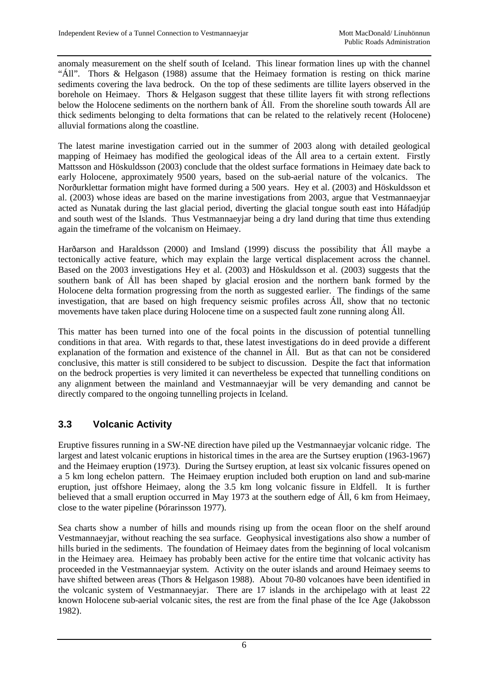anomaly measurement on the shelf south of Iceland. This linear formation lines up with the channel "Áll". Thors & Helgason (1988) assume that the Heimaey formation is resting on thick marine sediments covering the lava bedrock. On the top of these sediments are tillite layers observed in the borehole on Heimaey. Thors & Helgason suggest that these tillite layers fit with strong reflections below the Holocene sediments on the northern bank of Áll. From the shoreline south towards Áll are thick sediments belonging to delta formations that can be related to the relatively recent (Holocene) alluvial formations along the coastline.

The latest marine investigation carried out in the summer of 2003 along with detailed geological mapping of Heimaey has modified the geological ideas of the Áll area to a certain extent. Firstly Mattsson and Höskuldsson (2003) conclude that the oldest surface formations in Heimaey date back to early Holocene, approximately 9500 years, based on the sub-aerial nature of the volcanics. The Norðurklettar formation might have formed during a 500 years. Hey et al. (2003) and Höskuldsson et al. (2003) whose ideas are based on the marine investigations from 2003, argue that Vestmannaeyjar acted as Nunatak during the last glacial period, diverting the glacial tongue south east into Háfadjúp and south west of the Islands. Thus Vestmannaeyjar being a dry land during that time thus extending again the timeframe of the volcanism on Heimaey.

Harðarson and Haraldsson (2000) and Imsland (1999) discuss the possibility that Áll maybe a tectonically active feature, which may explain the large vertical displacement across the channel. Based on the 2003 investigations Hey et al. (2003) and Höskuldsson et al. (2003) suggests that the southern bank of Áll has been shaped by glacial erosion and the northern bank formed by the Holocene delta formation progressing from the north as suggested earlier. The findings of the same investigation, that are based on high frequency seismic profiles across Áll, show that no tectonic movements have taken place during Holocene time on a suspected fault zone running along Áll.

This matter has been turned into one of the focal points in the discussion of potential tunnelling conditions in that area. With regards to that, these latest investigations do in deed provide a different explanation of the formation and existence of the channel in Áll. But as that can not be considered conclusive, this matter is still considered to be subject to discussion. Despite the fact that information on the bedrock properties is very limited it can nevertheless be expected that tunnelling conditions on any alignment between the mainland and Vestmannaeyjar will be very demanding and cannot be directly compared to the ongoing tunnelling projects in Iceland.

#### **3.3 Volcanic Activity**

Eruptive fissures running in a SW-NE direction have piled up the Vestmannaeyjar volcanic ridge. The largest and latest volcanic eruptions in historical times in the area are the Surtsey eruption (1963-1967) and the Heimaey eruption (1973). During the Surtsey eruption, at least six volcanic fissures opened on a 5 km long echelon pattern. The Heimaey eruption included both eruption on land and sub-marine eruption, just offshore Heimaey, along the 3.5 km long volcanic fissure in Eldfell. It is further believed that a small eruption occurred in May 1973 at the southern edge of Áll, 6 km from Heimaey, close to the water pipeline (Þórarinsson 1977).

Sea charts show a number of hills and mounds rising up from the ocean floor on the shelf around Vestmannaeyjar, without reaching the sea surface. Geophysical investigations also show a number of hills buried in the sediments. The foundation of Heimaey dates from the beginning of local volcanism in the Heimaey area. Heimaey has probably been active for the entire time that volcanic activity has proceeded in the Vestmannaeyjar system. Activity on the outer islands and around Heimaey seems to have shifted between areas (Thors & Helgason 1988). About 70-80 volcanoes have been identified in the volcanic system of Vestmannaeyjar. There are 17 islands in the archipelago with at least 22 known Holocene sub-aerial volcanic sites, the rest are from the final phase of the Ice Age (Jakobsson 1982).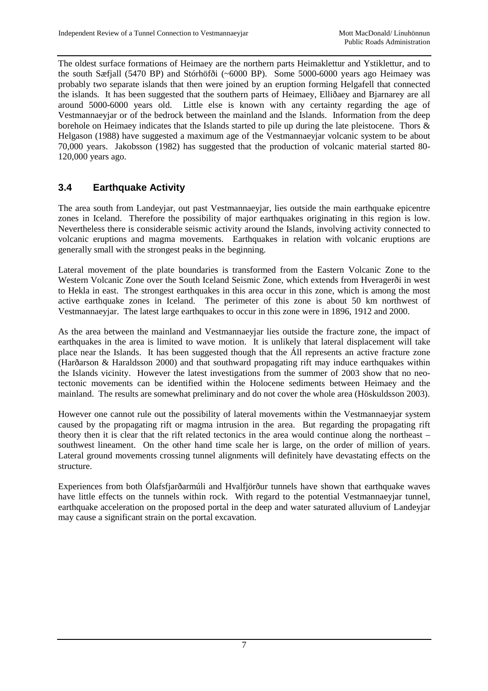The oldest surface formations of Heimaey are the northern parts Heimaklettur and Ystiklettur, and to the south Sæfjall (5470 BP) and Stórhöfði (~6000 BP). Some 5000-6000 years ago Heimaey was probably two separate islands that then were joined by an eruption forming Helgafell that connected the islands. It has been suggested that the southern parts of Heimaey, Elliðaey and Bjarnarey are all around 5000-6000 years old. Little else is known with any certainty regarding the age of Vestmannaeyjar or of the bedrock between the mainland and the Islands. Information from the deep borehole on Heimaey indicates that the Islands started to pile up during the late pleistocene. Thors & Helgason (1988) have suggested a maximum age of the Vestmannaeyjar volcanic system to be about 70,000 years. Jakobsson (1982) has suggested that the production of volcanic material started 80- 120,000 years ago.

#### **3.4 Earthquake Activity**

The area south from Landeyjar, out past Vestmannaeyjar, lies outside the main earthquake epicentre zones in Iceland. Therefore the possibility of major earthquakes originating in this region is low. Nevertheless there is considerable seismic activity around the Islands, involving activity connected to volcanic eruptions and magma movements. Earthquakes in relation with volcanic eruptions are generally small with the strongest peaks in the beginning.

Lateral movement of the plate boundaries is transformed from the Eastern Volcanic Zone to the Western Volcanic Zone over the South Iceland Seismic Zone, which extends from Hveragerði in west to Hekla in east. The strongest earthquakes in this area occur in this zone, which is among the most active earthquake zones in Iceland. The perimeter of this zone is about 50 km northwest of Vestmannaeyjar. The latest large earthquakes to occur in this zone were in 1896, 1912 and 2000.

As the area between the mainland and Vestmannaeyjar lies outside the fracture zone, the impact of earthquakes in the area is limited to wave motion. It is unlikely that lateral displacement will take place near the Islands. It has been suggested though that the Áll represents an active fracture zone (Harðarson & Haraldsson 2000) and that southward propagating rift may induce earthquakes within the Islands vicinity. However the latest investigations from the summer of 2003 show that no neotectonic movements can be identified within the Holocene sediments between Heimaey and the mainland. The results are somewhat preliminary and do not cover the whole area (Höskuldsson 2003).

However one cannot rule out the possibility of lateral movements within the Vestmannaeyjar system caused by the propagating rift or magma intrusion in the area. But regarding the propagating rift theory then it is clear that the rift related tectonics in the area would continue along the northeast – southwest lineament. On the other hand time scale her is large, on the order of million of years. Lateral ground movements crossing tunnel alignments will definitely have devastating effects on the structure.

Experiences from both Ólafsfjarðarmúli and Hvalfjörður tunnels have shown that earthquake waves have little effects on the tunnels within rock. With regard to the potential Vestmannaeyjar tunnel, earthquake acceleration on the proposed portal in the deep and water saturated alluvium of Landeyjar may cause a significant strain on the portal excavation.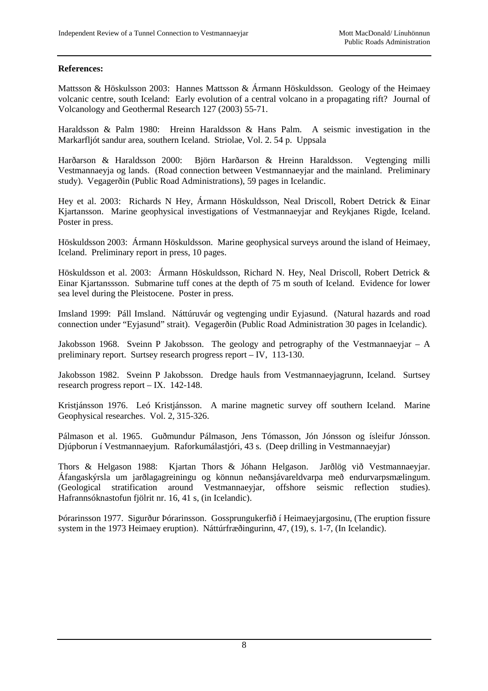#### **References:**

Mattsson & Höskulsson 2003: Hannes Mattsson & Ármann Höskuldsson. Geology of the Heimaey volcanic centre, south Iceland: Early evolution of a central volcano in a propagating rift? Journal of Volcanology and Geothermal Research 127 (2003) 55-71.

Haraldsson & Palm 1980: Hreinn Haraldsson & Hans Palm. A seismic investigation in the Markarfljót sandur area, southern Iceland. Striolae, Vol. 2. 54 p. Uppsala

Harðarson & Haraldsson 2000: Björn Harðarson & Hreinn Haraldsson. Vegtenging milli Vestmannaeyja og lands. (Road connection between Vestmannaeyjar and the mainland. Preliminary study). Vegagerðin (Public Road Administrations), 59 pages in Icelandic.

Hey et al. 2003: Richards N Hey, Ármann Höskuldsson, Neal Driscoll, Robert Detrick & Einar Kjartansson. Marine geophysical investigations of Vestmannaeyjar and Reykjanes Rigde, Iceland. Poster in press.

Höskuldsson 2003: Ármann Höskuldsson. Marine geophysical surveys around the island of Heimaey, Iceland. Preliminary report in press, 10 pages.

Höskuldsson et al. 2003: Ármann Höskuldsson, Richard N. Hey, Neal Driscoll, Robert Detrick & Einar Kjartanssson. Submarine tuff cones at the depth of 75 m south of Iceland. Evidence for lower sea level during the Pleistocene. Poster in press.

Imsland 1999: Páll Imsland. Náttúruvár og vegtenging undir Eyjasund. (Natural hazards and road connection under "Eyjasund" strait). Vegagerðin (Public Road Administration 30 pages in Icelandic).

Jakobsson 1968. Sveinn P Jakobsson. The geology and petrography of the Vestmannaeyjar – A preliminary report. Surtsey research progress report – IV, 113-130.

Jakobsson 1982. Sveinn P Jakobsson. Dredge hauls from Vestmannaeyjagrunn, Iceland. Surtsey research progress report – IX. 142-148.

Kristjánsson 1976. Leó Kristjánsson. A marine magnetic survey off southern Iceland. Marine Geophysical researches. Vol. 2, 315-326.

Pálmason et al. 1965. Guðmundur Pálmason, Jens Tómasson, Jón Jónsson og ísleifur Jónsson. Djúpborun í Vestmannaeyjum. Raforkumálastjóri, 43 s. (Deep drilling in Vestmannaeyjar)

Thors & Helgason 1988: Kjartan Thors & Jóhann Helgason. Jarðlög við Vestmannaeyjar. Áfangaskýrsla um jarðlagagreiningu og könnun neðansjávareldvarpa með endurvarpsmælingum. (Geological stratification around Vestmannaeyjar, offshore seismic reflection studies). Hafrannsóknastofun fjölrit nr. 16, 41 s, (in Icelandic).

Þórarinsson 1977. Sigurður Þórarinsson. Gossprungukerfið í Heimaeyjargosinu, (The eruption fissure system in the 1973 Heimaey eruption). Náttúrfræðingurinn, 47, (19), s. 1-7, (In Icelandic).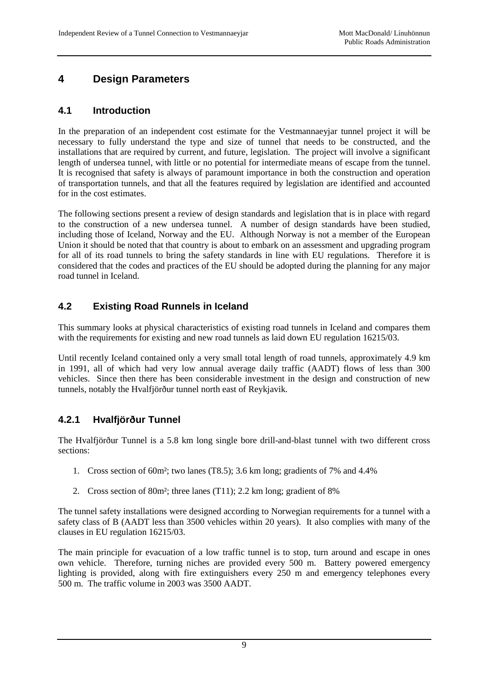# **4 Design Parameters**

#### **4.1 Introduction**

In the preparation of an independent cost estimate for the Vestmannaeyjar tunnel project it will be necessary to fully understand the type and size of tunnel that needs to be constructed, and the installations that are required by current, and future, legislation. The project will involve a significant length of undersea tunnel, with little or no potential for intermediate means of escape from the tunnel. It is recognised that safety is always of paramount importance in both the construction and operation of transportation tunnels, and that all the features required by legislation are identified and accounted for in the cost estimates.

The following sections present a review of design standards and legislation that is in place with regard to the construction of a new undersea tunnel. A number of design standards have been studied, including those of Iceland, Norway and the EU. Although Norway is not a member of the European Union it should be noted that that country is about to embark on an assessment and upgrading program for all of its road tunnels to bring the safety standards in line with EU regulations. Therefore it is considered that the codes and practices of the EU should be adopted during the planning for any major road tunnel in Iceland.

#### **4.2 Existing Road Runnels in Iceland**

This summary looks at physical characteristics of existing road tunnels in Iceland and compares them with the requirements for existing and new road tunnels as laid down EU regulation 16215/03.

Until recently Iceland contained only a very small total length of road tunnels, approximately 4.9 km in 1991, all of which had very low annual average daily traffic (AADT) flows of less than 300 vehicles. Since then there has been considerable investment in the design and construction of new tunnels, notably the Hvalfjörður tunnel north east of Reykjavik.

#### **4.2.1 Hvalfjörður Tunnel**

The Hvalfjörður Tunnel is a 5.8 km long single bore drill-and-blast tunnel with two different cross sections:

- 1. Cross section of 60m²; two lanes (T8.5); 3.6 km long; gradients of 7% and 4.4%
- 2. Cross section of 80m²; three lanes (T11); 2.2 km long; gradient of 8%

The tunnel safety installations were designed according to Norwegian requirements for a tunnel with a safety class of B (AADT less than 3500 vehicles within 20 years). It also complies with many of the clauses in EU regulation 16215/03.

The main principle for evacuation of a low traffic tunnel is to stop, turn around and escape in ones own vehicle. Therefore, turning niches are provided every 500 m. Battery powered emergency lighting is provided, along with fire extinguishers every 250 m and emergency telephones every 500 m. The traffic volume in 2003 was 3500 AADT.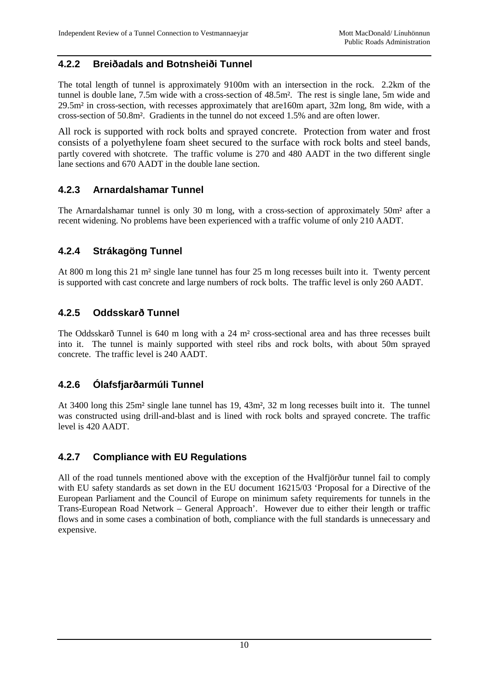#### **4.2.2 Breiðadals and Botnsheiði Tunnel**

The total length of tunnel is approximately 9100m with an intersection in the rock. 2.2km of the tunnel is double lane, 7.5m wide with a cross-section of 48.5m². The rest is single lane, 5m wide and 29.5m² in cross-section, with recesses approximately that are160m apart, 32m long, 8m wide, with a cross-section of 50.8m². Gradients in the tunnel do not exceed 1.5% and are often lower.

All rock is supported with rock bolts and sprayed concrete. Protection from water and frost consists of a polyethylene foam sheet secured to the surface with rock bolts and steel bands, partly covered with shotcrete. The traffic volume is 270 and 480 AADT in the two different single lane sections and 670 AADT in the double lane section.

#### **4.2.3 Arnardalshamar Tunnel**

The Arnardalshamar tunnel is only 30 m long, with a cross-section of approximately 50m² after a recent widening. No problems have been experienced with a traffic volume of only 210 AADT.

#### **4.2.4 Strákagöng Tunnel**

At 800 m long this 21 m² single lane tunnel has four 25 m long recesses built into it. Twenty percent is supported with cast concrete and large numbers of rock bolts. The traffic level is only 260 AADT.

#### **4.2.5 Oddsskarð Tunnel**

The Oddsskarð Tunnel is 640 m long with a 24 m² cross-sectional area and has three recesses built into it. The tunnel is mainly supported with steel ribs and rock bolts, with about 50m sprayed concrete. The traffic level is 240 AADT.

#### **4.2.6 Ólafsfjarðarmúli Tunnel**

At 3400 long this 25m² single lane tunnel has 19, 43m², 32 m long recesses built into it. The tunnel was constructed using drill-and-blast and is lined with rock bolts and sprayed concrete. The traffic level is 420 AADT.

#### **4.2.7 Compliance with EU Regulations**

All of the road tunnels mentioned above with the exception of the Hvalfjörður tunnel fail to comply with EU safety standards as set down in the EU document 16215/03 'Proposal for a Directive of the European Parliament and the Council of Europe on minimum safety requirements for tunnels in the Trans-European Road Network – General Approach'. However due to either their length or traffic flows and in some cases a combination of both, compliance with the full standards is unnecessary and expensive.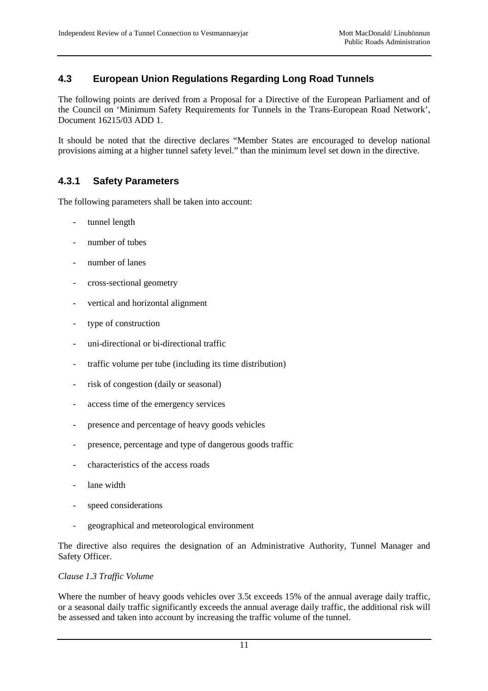#### **4.3 European Union Regulations Regarding Long Road Tunnels**

The following points are derived from a Proposal for a Directive of the European Parliament and of the Council on 'Minimum Safety Requirements for Tunnels in the Trans-European Road Network', Document 16215/03 ADD 1.

It should be noted that the directive declares "Member States are encouraged to develop national provisions aiming at a higher tunnel safety level." than the minimum level set down in the directive.

#### **4.3.1 Safety Parameters**

The following parameters shall be taken into account:

- tunnel length
- number of tubes
- number of lanes
- cross-sectional geometry
- vertical and horizontal alignment
- type of construction
- uni-directional or bi-directional traffic
- traffic volume per tube (including its time distribution)
- risk of congestion (daily or seasonal)
- access time of the emergency services
- presence and percentage of heavy goods vehicles
- presence, percentage and type of dangerous goods traffic
- characteristics of the access roads
- lane width
- speed considerations
- geographical and meteorological environment

The directive also requires the designation of an Administrative Authority, Tunnel Manager and Safety Officer.

#### *Clause 1.3 Traffic Volume*

Where the number of heavy goods vehicles over 3.5t exceeds 15% of the annual average daily traffic, or a seasonal daily traffic significantly exceeds the annual average daily traffic, the additional risk will be assessed and taken into account by increasing the traffic volume of the tunnel.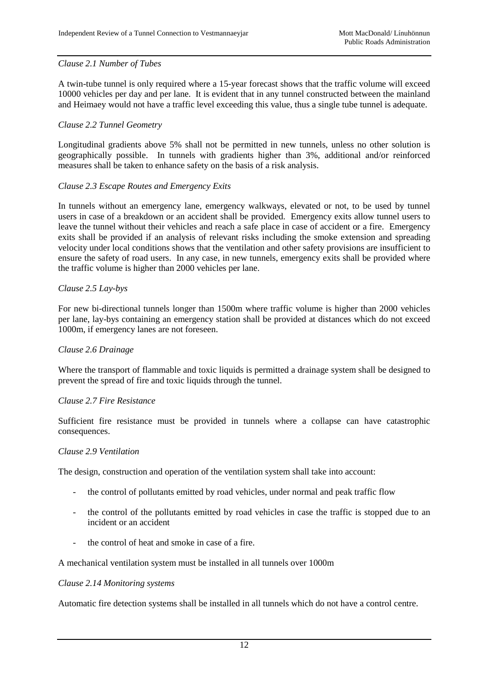#### *Clause 2.1 Number of Tubes*

A twin-tube tunnel is only required where a 15-year forecast shows that the traffic volume will exceed 10000 vehicles per day and per lane. It is evident that in any tunnel constructed between the mainland and Heimaey would not have a traffic level exceeding this value, thus a single tube tunnel is adequate.

#### *Clause 2.2 Tunnel Geometry*

Longitudinal gradients above 5% shall not be permitted in new tunnels, unless no other solution is geographically possible. In tunnels with gradients higher than 3%, additional and/or reinforced measures shall be taken to enhance safety on the basis of a risk analysis.

#### *Clause 2.3 Escape Routes and Emergency Exits*

In tunnels without an emergency lane, emergency walkways, elevated or not, to be used by tunnel users in case of a breakdown or an accident shall be provided. Emergency exits allow tunnel users to leave the tunnel without their vehicles and reach a safe place in case of accident or a fire. Emergency exits shall be provided if an analysis of relevant risks including the smoke extension and spreading velocity under local conditions shows that the ventilation and other safety provisions are insufficient to ensure the safety of road users. In any case, in new tunnels, emergency exits shall be provided where the traffic volume is higher than 2000 vehicles per lane.

#### *Clause 2.5 Lay-bys*

For new bi-directional tunnels longer than 1500m where traffic volume is higher than 2000 vehicles per lane, lay-bys containing an emergency station shall be provided at distances which do not exceed 1000m, if emergency lanes are not foreseen.

#### *Clause 2.6 Drainage*

Where the transport of flammable and toxic liquids is permitted a drainage system shall be designed to prevent the spread of fire and toxic liquids through the tunnel.

#### *Clause 2.7 Fire Resistance*

Sufficient fire resistance must be provided in tunnels where a collapse can have catastrophic consequences.

#### *Clause 2.9 Ventilation*

The design, construction and operation of the ventilation system shall take into account:

- the control of pollutants emitted by road vehicles, under normal and peak traffic flow
- the control of the pollutants emitted by road vehicles in case the traffic is stopped due to an incident or an accident
- the control of heat and smoke in case of a fire.

A mechanical ventilation system must be installed in all tunnels over 1000m

#### *Clause 2.14 Monitoring systems*

Automatic fire detection systems shall be installed in all tunnels which do not have a control centre.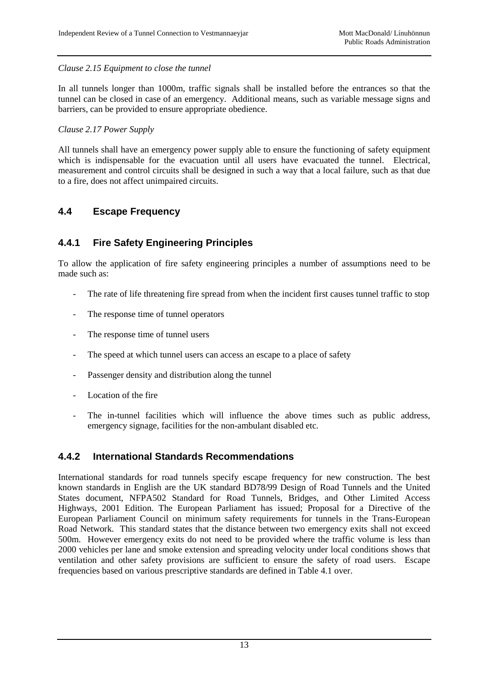#### *Clause 2.15 Equipment to close the tunnel*

In all tunnels longer than 1000m, traffic signals shall be installed before the entrances so that the tunnel can be closed in case of an emergency. Additional means, such as variable message signs and barriers, can be provided to ensure appropriate obedience.

#### *Clause 2.17 Power Supply*

All tunnels shall have an emergency power supply able to ensure the functioning of safety equipment which is indispensable for the evacuation until all users have evacuated the tunnel. Electrical, measurement and control circuits shall be designed in such a way that a local failure, such as that due to a fire, does not affect unimpaired circuits.

#### **4.4 Escape Frequency**

#### **4.4.1 Fire Safety Engineering Principles**

To allow the application of fire safety engineering principles a number of assumptions need to be made such as:

- The rate of life threatening fire spread from when the incident first causes tunnel traffic to stop
- The response time of tunnel operators
- The response time of tunnel users
- The speed at which tunnel users can access an escape to a place of safety
- Passenger density and distribution along the tunnel
- Location of the fire
- The in-tunnel facilities which will influence the above times such as public address, emergency signage, facilities for the non-ambulant disabled etc.

#### **4.4.2 International Standards Recommendations**

International standards for road tunnels specify escape frequency for new construction. The best known standards in English are the UK standard BD78/99 Design of Road Tunnels and the United States document, NFPA502 Standard for Road Tunnels, Bridges, and Other Limited Access Highways, 2001 Edition. The European Parliament has issued; Proposal for a Directive of the European Parliament Council on minimum safety requirements for tunnels in the Trans-European Road Network. This standard states that the distance between two emergency exits shall not exceed 500m. However emergency exits do not need to be provided where the traffic volume is less than 2000 vehicles per lane and smoke extension and spreading velocity under local conditions shows that ventilation and other safety provisions are sufficient to ensure the safety of road users. Escape frequencies based on various prescriptive standards are defined in Table 4.1 over.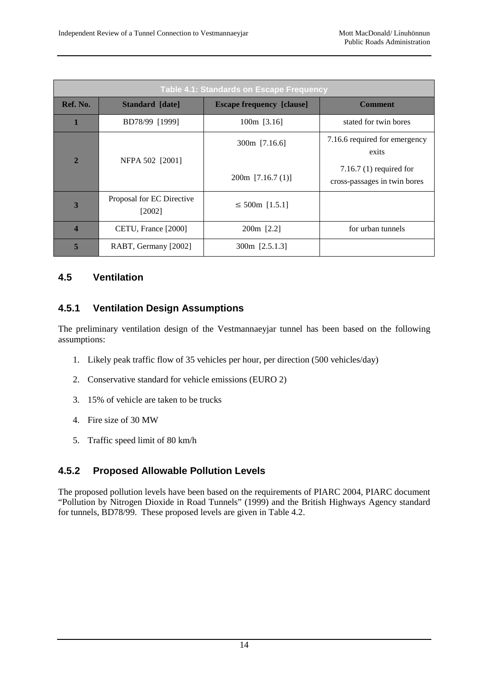|                | <b>Table 4.1: Standards on Escape Frequency</b> |                                  |                                                           |  |  |
|----------------|-------------------------------------------------|----------------------------------|-----------------------------------------------------------|--|--|
| Ref. No.       | Standard [date]                                 | <b>Escape frequency [clause]</b> | <b>Comment</b>                                            |  |  |
|                | BD78/99 [1999]                                  | $100m$ [3.16]                    | stated for twin bores                                     |  |  |
| $\overline{2}$ | NFPA 502 [2001]                                 | $300m$ [7.16.6]                  | 7.16.6 required for emergency<br>exits                    |  |  |
|                |                                                 | $200m$ [7.16.7 (1)]              | 7.16.7 $(1)$ required for<br>cross-passages in twin bores |  |  |
| 3              | Proposal for EC Directive<br>[2002]             | $\leq$ 500m [1.5.1]              |                                                           |  |  |
| 4              | CETU, France [2000]                             | 200m [2.2]                       | for urban tunnels                                         |  |  |
| 5              | RABT, Germany [2002]                            | 300m [2.5.1.3]                   |                                                           |  |  |

#### **4.5 Ventilation**

#### **4.5.1 Ventilation Design Assumptions**

The preliminary ventilation design of the Vestmannaeyjar tunnel has been based on the following assumptions:

- 1. Likely peak traffic flow of 35 vehicles per hour, per direction (500 vehicles/day)
- 2. Conservative standard for vehicle emissions (EURO 2)
- 3. 15% of vehicle are taken to be trucks
- 4. Fire size of 30 MW
- 5. Traffic speed limit of 80 km/h

#### **4.5.2 Proposed Allowable Pollution Levels**

The proposed pollution levels have been based on the requirements of PIARC 2004, PIARC document "Pollution by Nitrogen Dioxide in Road Tunnels" (1999) and the British Highways Agency standard for tunnels, BD78/99. These proposed levels are given in Table 4.2.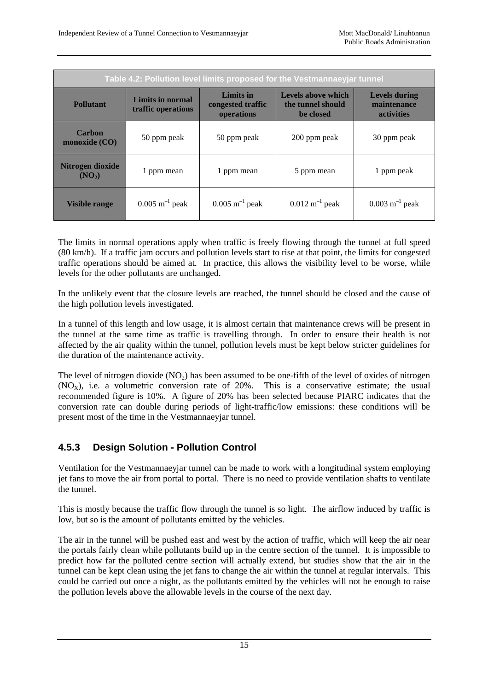|                                        |                                        |                                                     | Table 4.2: Pollution level limits proposed for the Vestmannaeyjar tunnel |                                                          |
|----------------------------------------|----------------------------------------|-----------------------------------------------------|--------------------------------------------------------------------------|----------------------------------------------------------|
| Pollutant                              | Limits in normal<br>traffic operations | <b>Limits in</b><br>congested traffic<br>operations | Levels above which<br>the tunnel should<br>be closed                     | <b>Levels during</b><br>maintenance<br><b>activities</b> |
| Carbon<br>monoxide $(CO)$              | 50 ppm peak                            | 50 ppm peak                                         | 200 ppm peak                                                             | 30 ppm peak                                              |
| Nitrogen dioxide<br>(NO <sub>2</sub> ) | 1 ppm mean                             | 1 ppm mean                                          | 5 ppm mean                                                               | 1 ppm peak                                               |
| <b>Visible range</b>                   | $0.005$ m <sup>-1</sup> peak           | $0.005$ m <sup>-1</sup> peak                        | $0.012 \text{ m}^{-1}$ peak                                              | $0.003 \text{ m}^{-1}$ peak                              |

The limits in normal operations apply when traffic is freely flowing through the tunnel at full speed (80 km/h). If a traffic jam occurs and pollution levels start to rise at that point, the limits for congested traffic operations should be aimed at. In practice, this allows the visibility level to be worse, while levels for the other pollutants are unchanged.

In the unlikely event that the closure levels are reached, the tunnel should be closed and the cause of the high pollution levels investigated.

In a tunnel of this length and low usage, it is almost certain that maintenance crews will be present in the tunnel at the same time as traffic is travelling through. In order to ensure their health is not affected by the air quality within the tunnel, pollution levels must be kept below stricter guidelines for the duration of the maintenance activity.

The level of nitrogen dioxide  $(NO_2)$  has been assumed to be one-fifth of the level of oxides of nitrogen  $(NO<sub>x</sub>)$ , i.e. a volumetric conversion rate of 20%. This is a conservative estimate; the usual recommended figure is 10%. A figure of 20% has been selected because PIARC indicates that the conversion rate can double during periods of light-traffic/low emissions: these conditions will be present most of the time in the Vestmannaeyjar tunnel.

#### **4.5.3 Design Solution - Pollution Control**

Ventilation for the Vestmannaeyjar tunnel can be made to work with a longitudinal system employing jet fans to move the air from portal to portal. There is no need to provide ventilation shafts to ventilate the tunnel.

This is mostly because the traffic flow through the tunnel is so light. The airflow induced by traffic is low, but so is the amount of pollutants emitted by the vehicles.

The air in the tunnel will be pushed east and west by the action of traffic, which will keep the air near the portals fairly clean while pollutants build up in the centre section of the tunnel. It is impossible to predict how far the polluted centre section will actually extend, but studies show that the air in the tunnel can be kept clean using the jet fans to change the air within the tunnel at regular intervals. This could be carried out once a night, as the pollutants emitted by the vehicles will not be enough to raise the pollution levels above the allowable levels in the course of the next day.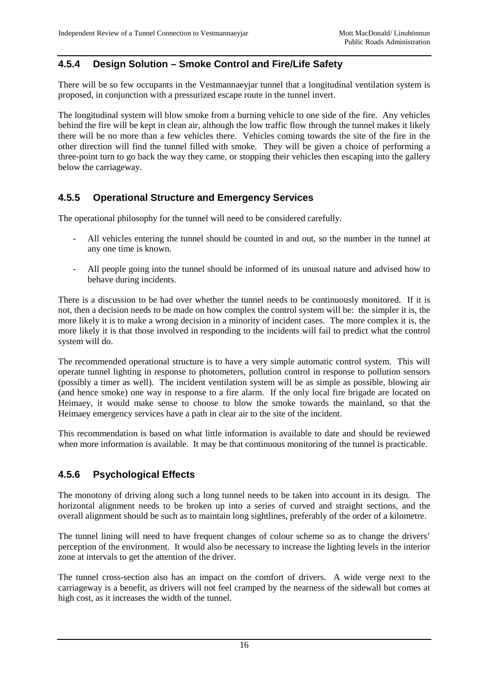#### **4.5.4 Design Solution – Smoke Control and Fire/Life Safety**

There will be so few occupants in the Vestmannaeyjar tunnel that a longitudinal ventilation system is proposed, in conjunction with a pressurized escape route in the tunnel invert.

The longitudinal system will blow smoke from a burning vehicle to one side of the fire. Any vehicles behind the fire will be kept in clean air, although the low traffic flow through the tunnel makes it likely there will be no more than a few vehicles there. Vehicles coming towards the site of the fire in the other direction will find the tunnel filled with smoke. They will be given a choice of performing a three-point turn to go back the way they came, or stopping their vehicles then escaping into the gallery below the carriageway.

#### **4.5.5 Operational Structure and Emergency Services**

The operational philosophy for the tunnel will need to be considered carefully.

- All vehicles entering the tunnel should be counted in and out, so the number in the tunnel at any one time is known.
- All people going into the tunnel should be informed of its unusual nature and advised how to behave during incidents.

There is a discussion to be had over whether the tunnel needs to be continuously monitored. If it is not, then a decision needs to be made on how complex the control system will be: the simpler it is, the more likely it is to make a wrong decision in a minority of incident cases. The more complex it is, the more likely it is that those involved in responding to the incidents will fail to predict what the control system will do.

The recommended operational structure is to have a very simple automatic control system. This will operate tunnel lighting in response to photometers, pollution control in response to pollution sensors (possibly a timer as well). The incident ventilation system will be as simple as possible, blowing air (and hence smoke) one way in response to a fire alarm. If the only local fire brigade are located on Heimaey, it would make sense to choose to blow the smoke towards the mainland, so that the Heimaey emergency services have a path in clear air to the site of the incident.

This recommendation is based on what little information is available to date and should be reviewed when more information is available. It may be that continuous monitoring of the tunnel is practicable.

#### **4.5.6 Psychological Effects**

The monotony of driving along such a long tunnel needs to be taken into account in its design. The horizontal alignment needs to be broken up into a series of curved and straight sections, and the overall alignment should be such as to maintain long sightlines, preferably of the order of a kilometre.

The tunnel lining will need to have frequent changes of colour scheme so as to change the drivers' perception of the environment. It would also be necessary to increase the lighting levels in the interior zone at intervals to get the attention of the driver.

The tunnel cross-section also has an impact on the comfort of drivers. A wide verge next to the carriageway is a benefit, as drivers will not feel cramped by the nearness of the sidewall but comes at high cost, as it increases the width of the tunnel.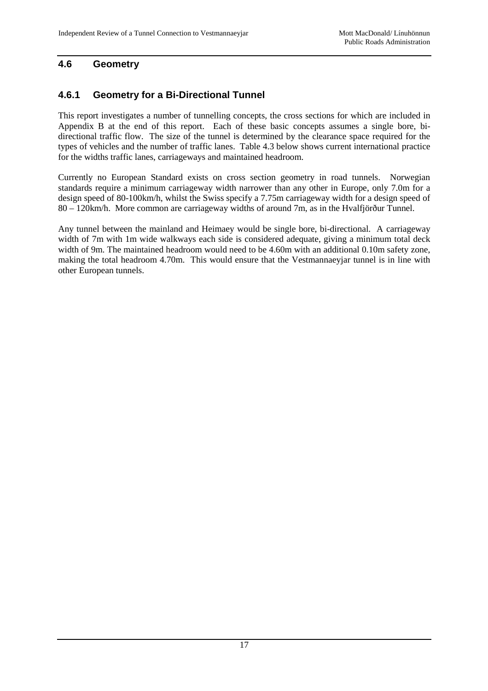#### **4.6 Geometry**

### **4.6.1 Geometry for a Bi-Directional Tunnel**

This report investigates a number of tunnelling concepts, the cross sections for which are included in Appendix B at the end of this report. Each of these basic concepts assumes a single bore, bidirectional traffic flow. The size of the tunnel is determined by the clearance space required for the types of vehicles and the number of traffic lanes. Table 4.3 below shows current international practice for the widths traffic lanes, carriageways and maintained headroom.

Currently no European Standard exists on cross section geometry in road tunnels. Norwegian standards require a minimum carriageway width narrower than any other in Europe, only 7.0m for a design speed of 80-100km/h, whilst the Swiss specify a 7.75m carriageway width for a design speed of 80 – 120km/h. More common are carriageway widths of around 7m, as in the Hvalfjörður Tunnel.

Any tunnel between the mainland and Heimaey would be single bore, bi-directional. A carriageway width of 7m with 1m wide walkways each side is considered adequate, giving a minimum total deck width of 9m. The maintained headroom would need to be 4.60m with an additional 0.10m safety zone, making the total headroom 4.70m. This would ensure that the Vestmannaeyjar tunnel is in line with other European tunnels.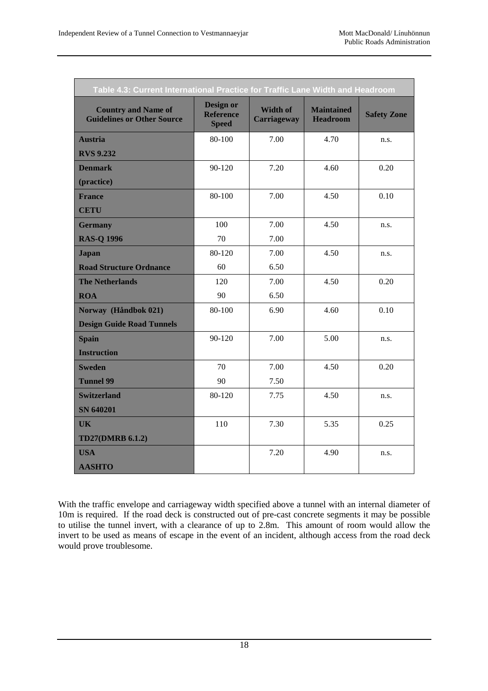| Table 4.3: Current International Practice for Traffic Lane Width and Headroom |                                               |                                       |                                      |                    |
|-------------------------------------------------------------------------------|-----------------------------------------------|---------------------------------------|--------------------------------------|--------------------|
| <b>Country and Name of</b><br><b>Guidelines or Other Source</b>               | Design or<br><b>Reference</b><br><b>Speed</b> | <b>Width of</b><br><b>Carriageway</b> | <b>Maintained</b><br><b>Headroom</b> | <b>Safety Zone</b> |
| <b>Austria</b>                                                                | 80-100                                        | 7.00                                  | 4.70                                 | n.s.               |
| <b>RVS 9.232</b>                                                              |                                               |                                       |                                      |                    |
| <b>Denmark</b>                                                                | 90-120                                        | 7.20                                  | 4.60                                 | 0.20               |
| (practice)                                                                    |                                               |                                       |                                      |                    |
| <b>France</b>                                                                 | 80-100                                        | 7.00                                  | 4.50                                 | 0.10               |
| <b>CETU</b>                                                                   |                                               |                                       |                                      |                    |
| <b>Germany</b>                                                                | 100                                           | 7.00                                  | 4.50                                 | n.s.               |
| <b>RAS-Q 1996</b>                                                             | 70                                            | 7.00                                  |                                      |                    |
| <b>Japan</b>                                                                  | 80-120                                        | 7.00                                  | 4.50                                 | n.s.               |
| <b>Road Structure Ordnance</b>                                                | 60                                            | 6.50                                  |                                      |                    |
| <b>The Netherlands</b>                                                        | 120                                           | 7.00                                  | 4.50                                 | 0.20               |
| <b>ROA</b>                                                                    | 90                                            | 6.50                                  |                                      |                    |
| Norway (Håndbok 021)                                                          | 80-100                                        | 6.90                                  | 4.60                                 | 0.10               |
| <b>Design Guide Road Tunnels</b>                                              |                                               |                                       |                                      |                    |
| <b>Spain</b>                                                                  | 90-120                                        | 7.00                                  | 5.00                                 | n.s.               |
| <b>Instruction</b>                                                            |                                               |                                       |                                      |                    |
| <b>Sweden</b>                                                                 | 70                                            | 7.00                                  | 4.50                                 | 0.20               |
| <b>Tunnel 99</b>                                                              | 90                                            | 7.50                                  |                                      |                    |
| <b>Switzerland</b>                                                            | 80-120                                        | 7.75                                  | 4.50                                 | n.s.               |
| SN 640201                                                                     |                                               |                                       |                                      |                    |
| <b>UK</b>                                                                     | 110                                           | 7.30                                  | 5.35                                 | 0.25               |
| <b>TD27(DMRB 6.1.2)</b>                                                       |                                               |                                       |                                      |                    |
| <b>USA</b>                                                                    |                                               | 7.20                                  | 4.90                                 | n.s.               |
| <b>AASHTO</b>                                                                 |                                               |                                       |                                      |                    |

With the traffic envelope and carriageway width specified above a tunnel with an internal diameter of 10m is required. If the road deck is constructed out of pre-cast concrete segments it may be possible to utilise the tunnel invert, with a clearance of up to 2.8m. This amount of room would allow the invert to be used as means of escape in the event of an incident, although access from the road deck would prove troublesome.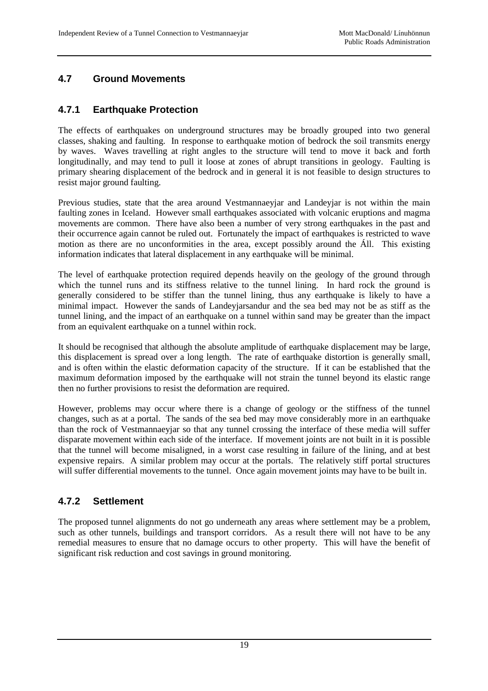#### **4.7 Ground Movements**

#### **4.7.1 Earthquake Protection**

The effects of earthquakes on underground structures may be broadly grouped into two general classes, shaking and faulting. In response to earthquake motion of bedrock the soil transmits energy by waves. Waves travelling at right angles to the structure will tend to move it back and forth longitudinally, and may tend to pull it loose at zones of abrupt transitions in geology. Faulting is primary shearing displacement of the bedrock and in general it is not feasible to design structures to resist major ground faulting.

Previous studies, state that the area around Vestmannaeyjar and Landeyjar is not within the main faulting zones in Iceland. However small earthquakes associated with volcanic eruptions and magma movements are common. There have also been a number of very strong earthquakes in the past and their occurrence again cannot be ruled out. Fortunately the impact of earthquakes is restricted to wave motion as there are no unconformities in the area, except possibly around the Áll. This existing information indicates that lateral displacement in any earthquake will be minimal.

The level of earthquake protection required depends heavily on the geology of the ground through which the tunnel runs and its stiffness relative to the tunnel lining. In hard rock the ground is generally considered to be stiffer than the tunnel lining, thus any earthquake is likely to have a minimal impact. However the sands of Landeyjarsandur and the sea bed may not be as stiff as the tunnel lining, and the impact of an earthquake on a tunnel within sand may be greater than the impact from an equivalent earthquake on a tunnel within rock.

It should be recognised that although the absolute amplitude of earthquake displacement may be large, this displacement is spread over a long length. The rate of earthquake distortion is generally small, and is often within the elastic deformation capacity of the structure. If it can be established that the maximum deformation imposed by the earthquake will not strain the tunnel beyond its elastic range then no further provisions to resist the deformation are required.

However, problems may occur where there is a change of geology or the stiffness of the tunnel changes, such as at a portal. The sands of the sea bed may move considerably more in an earthquake than the rock of Vestmannaeyjar so that any tunnel crossing the interface of these media will suffer disparate movement within each side of the interface. If movement joints are not built in it is possible that the tunnel will become misaligned, in a worst case resulting in failure of the lining, and at best expensive repairs. A similar problem may occur at the portals. The relatively stiff portal structures will suffer differential movements to the tunnel. Once again movement joints may have to be built in.

#### **4.7.2 Settlement**

The proposed tunnel alignments do not go underneath any areas where settlement may be a problem, such as other tunnels, buildings and transport corridors. As a result there will not have to be any remedial measures to ensure that no damage occurs to other property. This will have the benefit of significant risk reduction and cost savings in ground monitoring.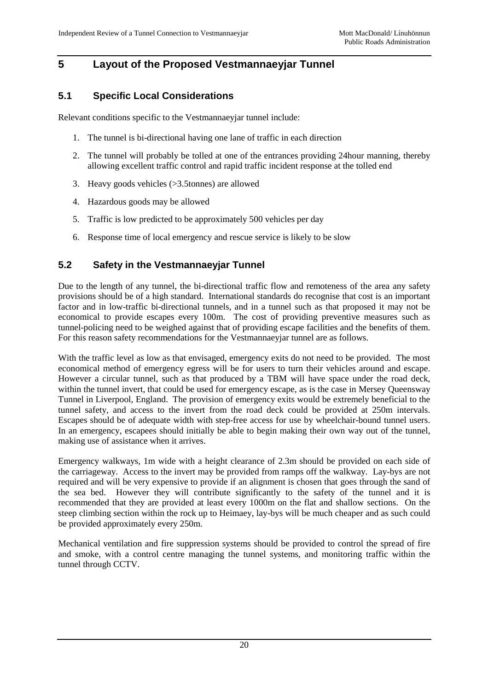### **5 Layout of the Proposed Vestmannaeyjar Tunnel**

#### **5.1 Specific Local Considerations**

Relevant conditions specific to the Vestmannaeyjar tunnel include:

- 1. The tunnel is bi-directional having one lane of traffic in each direction
- 2. The tunnel will probably be tolled at one of the entrances providing 24hour manning, thereby allowing excellent traffic control and rapid traffic incident response at the tolled end
- 3. Heavy goods vehicles (>3.5tonnes) are allowed
- 4. Hazardous goods may be allowed
- 5. Traffic is low predicted to be approximately 500 vehicles per day
- 6. Response time of local emergency and rescue service is likely to be slow

#### **5.2 Safety in the Vestmannaeyjar Tunnel**

Due to the length of any tunnel, the bi-directional traffic flow and remoteness of the area any safety provisions should be of a high standard. International standards do recognise that cost is an important factor and in low-traffic bi-directional tunnels, and in a tunnel such as that proposed it may not be economical to provide escapes every 100m. The cost of providing preventive measures such as tunnel-policing need to be weighed against that of providing escape facilities and the benefits of them. For this reason safety recommendations for the Vestmannaeyjar tunnel are as follows.

With the traffic level as low as that envisaged, emergency exits do not need to be provided. The most economical method of emergency egress will be for users to turn their vehicles around and escape. However a circular tunnel, such as that produced by a TBM will have space under the road deck, within the tunnel invert, that could be used for emergency escape, as is the case in Mersey Queensway Tunnel in Liverpool, England. The provision of emergency exits would be extremely beneficial to the tunnel safety, and access to the invert from the road deck could be provided at 250m intervals. Escapes should be of adequate width with step-free access for use by wheelchair-bound tunnel users. In an emergency, escapees should initially be able to begin making their own way out of the tunnel, making use of assistance when it arrives.

Emergency walkways, 1m wide with a height clearance of 2.3m should be provided on each side of the carriageway. Access to the invert may be provided from ramps off the walkway. Lay-bys are not required and will be very expensive to provide if an alignment is chosen that goes through the sand of the sea bed. However they will contribute significantly to the safety of the tunnel and it is recommended that they are provided at least every 1000m on the flat and shallow sections. On the steep climbing section within the rock up to Heimaey, lay-bys will be much cheaper and as such could be provided approximately every 250m.

Mechanical ventilation and fire suppression systems should be provided to control the spread of fire and smoke, with a control centre managing the tunnel systems, and monitoring traffic within the tunnel through CCTV.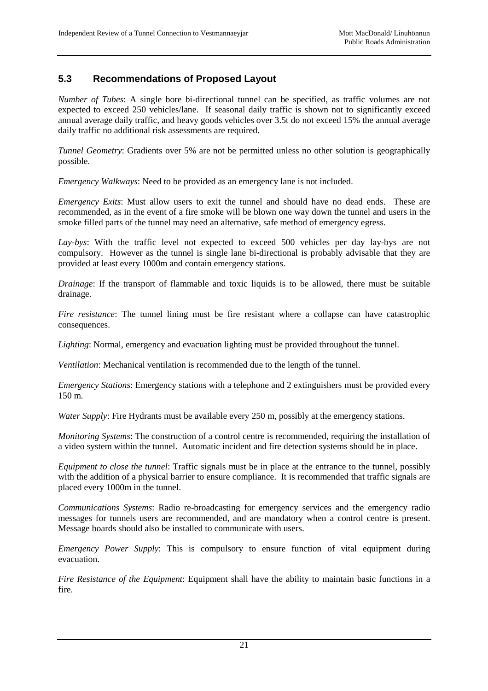#### **5.3 Recommendations of Proposed Layout**

*Number of Tubes*: A single bore bi-directional tunnel can be specified, as traffic volumes are not expected to exceed 250 vehicles/lane. If seasonal daily traffic is shown not to significantly exceed annual average daily traffic, and heavy goods vehicles over 3.5t do not exceed 15% the annual average daily traffic no additional risk assessments are required.

*Tunnel Geometry:* Gradients over 5% are not be permitted unless no other solution is geographically possible.

*Emergency Walkways*: Need to be provided as an emergency lane is not included.

*Emergency Exits*: Must allow users to exit the tunnel and should have no dead ends. These are recommended, as in the event of a fire smoke will be blown one way down the tunnel and users in the smoke filled parts of the tunnel may need an alternative, safe method of emergency egress.

*Lay-bys*: With the traffic level not expected to exceed 500 vehicles per day lay-bys are not compulsory. However as the tunnel is single lane bi-directional is probably advisable that they are provided at least every 1000m and contain emergency stations.

*Drainage*: If the transport of flammable and toxic liquids is to be allowed, there must be suitable drainage.

*Fire resistance*: The tunnel lining must be fire resistant where a collapse can have catastrophic consequences.

*Lighting*: Normal, emergency and evacuation lighting must be provided throughout the tunnel.

*Ventilation*: Mechanical ventilation is recommended due to the length of the tunnel.

*Emergency Stations:* Emergency stations with a telephone and 2 extinguishers must be provided every 150 m.

*Water Supply:* Fire Hydrants must be available every 250 m, possibly at the emergency stations.

*Monitoring Systems*: The construction of a control centre is recommended, requiring the installation of a video system within the tunnel. Automatic incident and fire detection systems should be in place.

*Equipment to close the tunnel*: Traffic signals must be in place at the entrance to the tunnel, possibly with the addition of a physical barrier to ensure compliance. It is recommended that traffic signals are placed every 1000m in the tunnel.

*Communications Systems*: Radio re-broadcasting for emergency services and the emergency radio messages for tunnels users are recommended, and are mandatory when a control centre is present. Message boards should also be installed to communicate with users.

*Emergency Power Supply*: This is compulsory to ensure function of vital equipment during evacuation.

*Fire Resistance of the Equipment*: Equipment shall have the ability to maintain basic functions in a fire.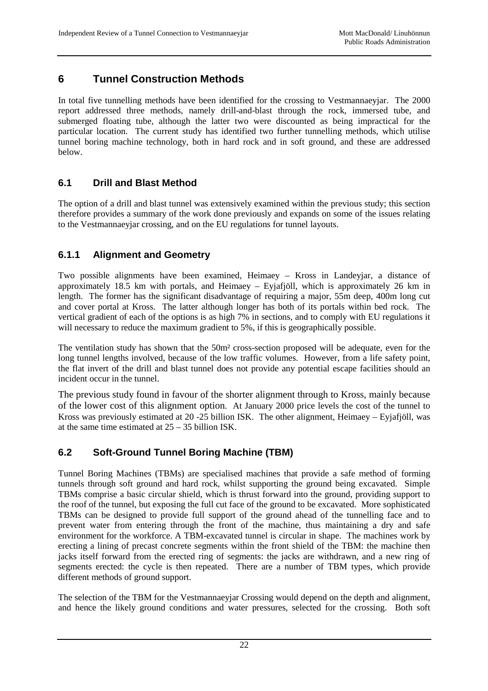# **6 Tunnel Construction Methods**

In total five tunnelling methods have been identified for the crossing to Vestmannaeyjar. The 2000 report addressed three methods, namely drill-and-blast through the rock, immersed tube, and submerged floating tube, although the latter two were discounted as being impractical for the particular location. The current study has identified two further tunnelling methods, which utilise tunnel boring machine technology, both in hard rock and in soft ground, and these are addressed below.

#### **6.1 Drill and Blast Method**

The option of a drill and blast tunnel was extensively examined within the previous study; this section therefore provides a summary of the work done previously and expands on some of the issues relating to the Vestmannaeyjar crossing, and on the EU regulations for tunnel layouts.

#### **6.1.1 Alignment and Geometry**

Two possible alignments have been examined, Heimaey – Kross in Landeyjar, a distance of approximately 18.5 km with portals, and Heimaey – Eyjafjöll, which is approximately 26 km in length. The former has the significant disadvantage of requiring a major, 55m deep, 400m long cut and cover portal at Kross. The latter although longer has both of its portals within bed rock. The vertical gradient of each of the options is as high 7% in sections, and to comply with EU regulations it will necessary to reduce the maximum gradient to 5%, if this is geographically possible.

The ventilation study has shown that the 50m² cross-section proposed will be adequate, even for the long tunnel lengths involved, because of the low traffic volumes. However, from a life safety point, the flat invert of the drill and blast tunnel does not provide any potential escape facilities should an incident occur in the tunnel.

The previous study found in favour of the shorter alignment through to Kross, mainly because of the lower cost of this alignment option. At January 2000 price levels the cost of the tunnel to Kross was previously estimated at 20 -25 billion ISK. The other alignment, Heimaey – Eyjafjöll, was at the same time estimated at 25 – 35 billion ISK.

#### **6.2 Soft-Ground Tunnel Boring Machine (TBM)**

Tunnel Boring Machines (TBMs) are specialised machines that provide a safe method of forming tunnels through soft ground and hard rock, whilst supporting the ground being excavated. Simple TBMs comprise a basic circular shield, which is thrust forward into the ground, providing support to the roof of the tunnel, but exposing the full cut face of the ground to be excavated. More sophisticated TBMs can be designed to provide full support of the ground ahead of the tunnelling face and to prevent water from entering through the front of the machine, thus maintaining a dry and safe environment for the workforce. A TBM-excavated tunnel is circular in shape. The machines work by erecting a lining of precast concrete segments within the front shield of the TBM: the machine then jacks itself forward from the erected ring of segments: the jacks are withdrawn, and a new ring of segments erected: the cycle is then repeated. There are a number of TBM types, which provide different methods of ground support.

The selection of the TBM for the Vestmannaeyjar Crossing would depend on the depth and alignment, and hence the likely ground conditions and water pressures, selected for the crossing. Both soft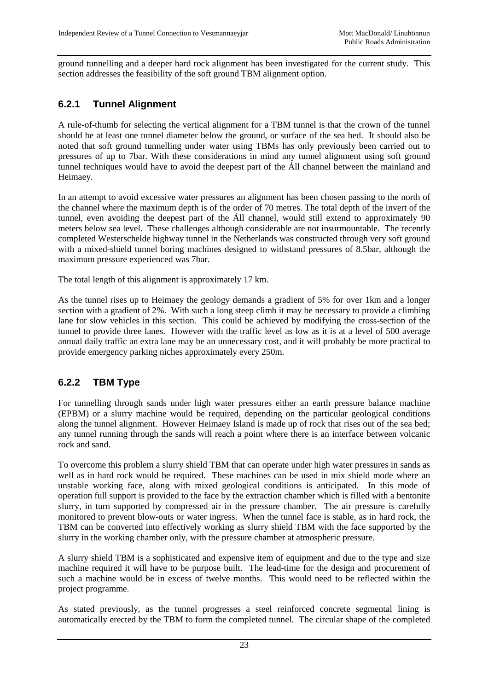ground tunnelling and a deeper hard rock alignment has been investigated for the current study. This section addresses the feasibility of the soft ground TBM alignment option.

### **6.2.1 Tunnel Alignment**

A rule-of-thumb for selecting the vertical alignment for a TBM tunnel is that the crown of the tunnel should be at least one tunnel diameter below the ground, or surface of the sea bed. It should also be noted that soft ground tunnelling under water using TBMs has only previously been carried out to pressures of up to 7bar. With these considerations in mind any tunnel alignment using soft ground tunnel techniques would have to avoid the deepest part of the Áll channel between the mainland and Heimaey.

In an attempt to avoid excessive water pressures an alignment has been chosen passing to the north of the channel where the maximum depth is of the order of 70 metres. The total depth of the invert of the tunnel, even avoiding the deepest part of the Áll channel, would still extend to approximately 90 meters below sea level. These challenges although considerable are not insurmountable. The recently completed Westerschelde highway tunnel in the Netherlands was constructed through very soft ground with a mixed-shield tunnel boring machines designed to withstand pressures of 8.5bar, although the maximum pressure experienced was 7bar.

The total length of this alignment is approximately 17 km.

As the tunnel rises up to Heimaey the geology demands a gradient of 5% for over 1km and a longer section with a gradient of 2%. With such a long steep climb it may be necessary to provide a climbing lane for slow vehicles in this section. This could be achieved by modifying the cross-section of the tunnel to provide three lanes. However with the traffic level as low as it is at a level of 500 average annual daily traffic an extra lane may be an unnecessary cost, and it will probably be more practical to provide emergency parking niches approximately every 250m.

#### **6.2.2 TBM Type**

For tunnelling through sands under high water pressures either an earth pressure balance machine (EPBM) or a slurry machine would be required, depending on the particular geological conditions along the tunnel alignment. However Heimaey Island is made up of rock that rises out of the sea bed; any tunnel running through the sands will reach a point where there is an interface between volcanic rock and sand.

To overcome this problem a slurry shield TBM that can operate under high water pressures in sands as well as in hard rock would be required. These machines can be used in mix shield mode where an unstable working face, along with mixed geological conditions is anticipated. In this mode of operation full support is provided to the face by the extraction chamber which is filled with a bentonite slurry, in turn supported by compressed air in the pressure chamber. The air pressure is carefully monitored to prevent blow-outs or water ingress. When the tunnel face is stable, as in hard rock, the TBM can be converted into effectively working as slurry shield TBM with the face supported by the slurry in the working chamber only, with the pressure chamber at atmospheric pressure.

A slurry shield TBM is a sophisticated and expensive item of equipment and due to the type and size machine required it will have to be purpose built. The lead-time for the design and procurement of such a machine would be in excess of twelve months. This would need to be reflected within the project programme.

As stated previously, as the tunnel progresses a steel reinforced concrete segmental lining is automatically erected by the TBM to form the completed tunnel. The circular shape of the completed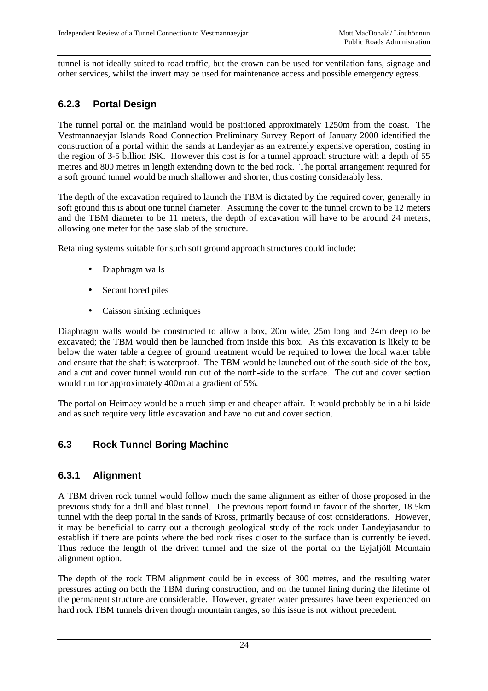tunnel is not ideally suited to road traffic, but the crown can be used for ventilation fans, signage and other services, whilst the invert may be used for maintenance access and possible emergency egress.

# **6.2.3 Portal Design**

The tunnel portal on the mainland would be positioned approximately 1250m from the coast. The Vestmannaeyjar Islands Road Connection Preliminary Survey Report of January 2000 identified the construction of a portal within the sands at Landeyjar as an extremely expensive operation, costing in the region of 3-5 billion ISK. However this cost is for a tunnel approach structure with a depth of 55 metres and 800 metres in length extending down to the bed rock. The portal arrangement required for a soft ground tunnel would be much shallower and shorter, thus costing considerably less.

The depth of the excavation required to launch the TBM is dictated by the required cover, generally in soft ground this is about one tunnel diameter. Assuming the cover to the tunnel crown to be 12 meters and the TBM diameter to be 11 meters, the depth of excavation will have to be around 24 meters, allowing one meter for the base slab of the structure.

Retaining systems suitable for such soft ground approach structures could include:

- Diaphragm walls
- Secant bored piles
- Caisson sinking techniques

Diaphragm walls would be constructed to allow a box, 20m wide, 25m long and 24m deep to be excavated; the TBM would then be launched from inside this box. As this excavation is likely to be below the water table a degree of ground treatment would be required to lower the local water table and ensure that the shaft is waterproof. The TBM would be launched out of the south-side of the box, and a cut and cover tunnel would run out of the north-side to the surface. The cut and cover section would run for approximately 400m at a gradient of 5%.

The portal on Heimaey would be a much simpler and cheaper affair. It would probably be in a hillside and as such require very little excavation and have no cut and cover section.

#### **6.3 Rock Tunnel Boring Machine**

#### **6.3.1 Alignment**

A TBM driven rock tunnel would follow much the same alignment as either of those proposed in the previous study for a drill and blast tunnel. The previous report found in favour of the shorter, 18.5km tunnel with the deep portal in the sands of Kross, primarily because of cost considerations. However, it may be beneficial to carry out a thorough geological study of the rock under Landeyjasandur to establish if there are points where the bed rock rises closer to the surface than is currently believed. Thus reduce the length of the driven tunnel and the size of the portal on the Eyjafjöll Mountain alignment option.

The depth of the rock TBM alignment could be in excess of 300 metres, and the resulting water pressures acting on both the TBM during construction, and on the tunnel lining during the lifetime of the permanent structure are considerable. However, greater water pressures have been experienced on hard rock TBM tunnels driven though mountain ranges, so this issue is not without precedent.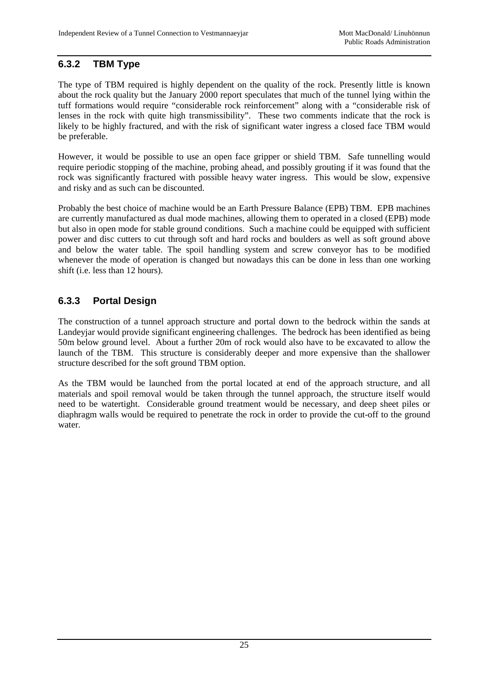#### **6.3.2 TBM Type**

The type of TBM required is highly dependent on the quality of the rock. Presently little is known about the rock quality but the January 2000 report speculates that much of the tunnel lying within the tuff formations would require "considerable rock reinforcement" along with a "considerable risk of lenses in the rock with quite high transmissibility". These two comments indicate that the rock is likely to be highly fractured, and with the risk of significant water ingress a closed face TBM would be preferable.

However, it would be possible to use an open face gripper or shield TBM. Safe tunnelling would require periodic stopping of the machine, probing ahead, and possibly grouting if it was found that the rock was significantly fractured with possible heavy water ingress. This would be slow, expensive and risky and as such can be discounted.

Probably the best choice of machine would be an Earth Pressure Balance (EPB) TBM. EPB machines are currently manufactured as dual mode machines, allowing them to operated in a closed (EPB) mode but also in open mode for stable ground conditions. Such a machine could be equipped with sufficient power and disc cutters to cut through soft and hard rocks and boulders as well as soft ground above and below the water table. The spoil handling system and screw conveyor has to be modified whenever the mode of operation is changed but nowadays this can be done in less than one working shift (i.e. less than 12 hours).

#### **6.3.3 Portal Design**

The construction of a tunnel approach structure and portal down to the bedrock within the sands at Landeyjar would provide significant engineering challenges. The bedrock has been identified as being 50m below ground level. About a further 20m of rock would also have to be excavated to allow the launch of the TBM. This structure is considerably deeper and more expensive than the shallower structure described for the soft ground TBM option.

As the TBM would be launched from the portal located at end of the approach structure, and all materials and spoil removal would be taken through the tunnel approach, the structure itself would need to be watertight. Considerable ground treatment would be necessary, and deep sheet piles or diaphragm walls would be required to penetrate the rock in order to provide the cut-off to the ground water.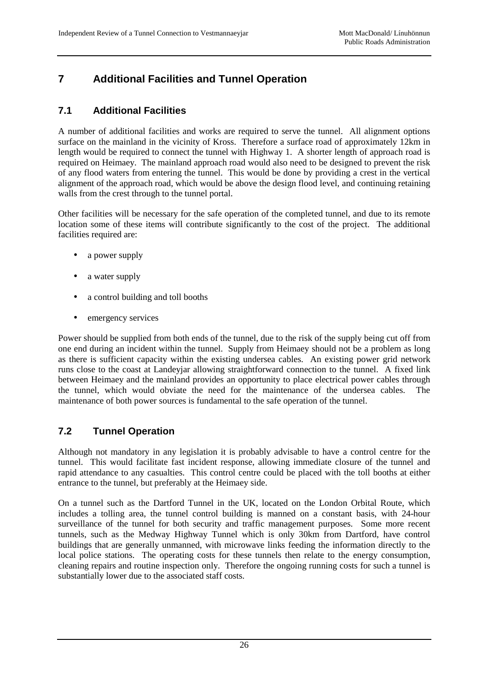# **7 Additional Facilities and Tunnel Operation**

#### **7.1 Additional Facilities**

A number of additional facilities and works are required to serve the tunnel. All alignment options surface on the mainland in the vicinity of Kross. Therefore a surface road of approximately 12km in length would be required to connect the tunnel with Highway 1. A shorter length of approach road is required on Heimaey. The mainland approach road would also need to be designed to prevent the risk of any flood waters from entering the tunnel. This would be done by providing a crest in the vertical alignment of the approach road, which would be above the design flood level, and continuing retaining walls from the crest through to the tunnel portal.

Other facilities will be necessary for the safe operation of the completed tunnel, and due to its remote location some of these items will contribute significantly to the cost of the project. The additional facilities required are:

- a power supply
- a water supply
- a control building and toll booths
- emergency services

Power should be supplied from both ends of the tunnel, due to the risk of the supply being cut off from one end during an incident within the tunnel. Supply from Heimaey should not be a problem as long as there is sufficient capacity within the existing undersea cables. An existing power grid network runs close to the coast at Landeyjar allowing straightforward connection to the tunnel. A fixed link between Heimaey and the mainland provides an opportunity to place electrical power cables through the tunnel, which would obviate the need for the maintenance of the undersea cables. The maintenance of both power sources is fundamental to the safe operation of the tunnel.

### **7.2 Tunnel Operation**

Although not mandatory in any legislation it is probably advisable to have a control centre for the tunnel. This would facilitate fast incident response, allowing immediate closure of the tunnel and rapid attendance to any casualties. This control centre could be placed with the toll booths at either entrance to the tunnel, but preferably at the Heimaey side.

On a tunnel such as the Dartford Tunnel in the UK, located on the London Orbital Route, which includes a tolling area, the tunnel control building is manned on a constant basis, with 24-hour surveillance of the tunnel for both security and traffic management purposes. Some more recent tunnels, such as the Medway Highway Tunnel which is only 30km from Dartford, have control buildings that are generally unmanned, with microwave links feeding the information directly to the local police stations. The operating costs for these tunnels then relate to the energy consumption, cleaning repairs and routine inspection only. Therefore the ongoing running costs for such a tunnel is substantially lower due to the associated staff costs.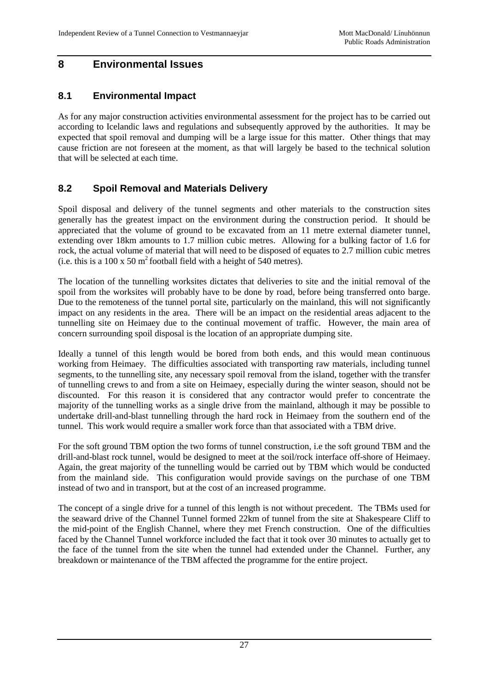#### **8 Environmental Issues**

#### **8.1 Environmental Impact**

As for any major construction activities environmental assessment for the project has to be carried out according to Icelandic laws and regulations and subsequently approved by the authorities. It may be expected that spoil removal and dumping will be a large issue for this matter. Other things that may cause friction are not foreseen at the moment, as that will largely be based to the technical solution that will be selected at each time.

#### **8.2 Spoil Removal and Materials Delivery**

Spoil disposal and delivery of the tunnel segments and other materials to the construction sites generally has the greatest impact on the environment during the construction period. It should be appreciated that the volume of ground to be excavated from an 11 metre external diameter tunnel, extending over 18km amounts to 1.7 million cubic metres. Allowing for a bulking factor of 1.6 for rock, the actual volume of material that will need to be disposed of equates to 2.7 million cubic metres (i.e. this is a 100 x 50  $m^2$  football field with a height of 540 metres).

The location of the tunnelling worksites dictates that deliveries to site and the initial removal of the spoil from the worksites will probably have to be done by road, before being transferred onto barge. Due to the remoteness of the tunnel portal site, particularly on the mainland, this will not significantly impact on any residents in the area. There will be an impact on the residential areas adjacent to the tunnelling site on Heimaey due to the continual movement of traffic. However, the main area of concern surrounding spoil disposal is the location of an appropriate dumping site.

Ideally a tunnel of this length would be bored from both ends, and this would mean continuous working from Heimaey. The difficulties associated with transporting raw materials, including tunnel segments, to the tunnelling site, any necessary spoil removal from the island, together with the transfer of tunnelling crews to and from a site on Heimaey, especially during the winter season, should not be discounted. For this reason it is considered that any contractor would prefer to concentrate the majority of the tunnelling works as a single drive from the mainland, although it may be possible to undertake drill-and-blast tunnelling through the hard rock in Heimaey from the southern end of the tunnel. This work would require a smaller work force than that associated with a TBM drive.

For the soft ground TBM option the two forms of tunnel construction, i.e the soft ground TBM and the drill-and-blast rock tunnel, would be designed to meet at the soil/rock interface off-shore of Heimaey. Again, the great majority of the tunnelling would be carried out by TBM which would be conducted from the mainland side. This configuration would provide savings on the purchase of one TBM instead of two and in transport, but at the cost of an increased programme.

The concept of a single drive for a tunnel of this length is not without precedent. The TBMs used for the seaward drive of the Channel Tunnel formed 22km of tunnel from the site at Shakespeare Cliff to the mid-point of the English Channel, where they met French construction. One of the difficulties faced by the Channel Tunnel workforce included the fact that it took over 30 minutes to actually get to the face of the tunnel from the site when the tunnel had extended under the Channel. Further, any breakdown or maintenance of the TBM affected the programme for the entire project.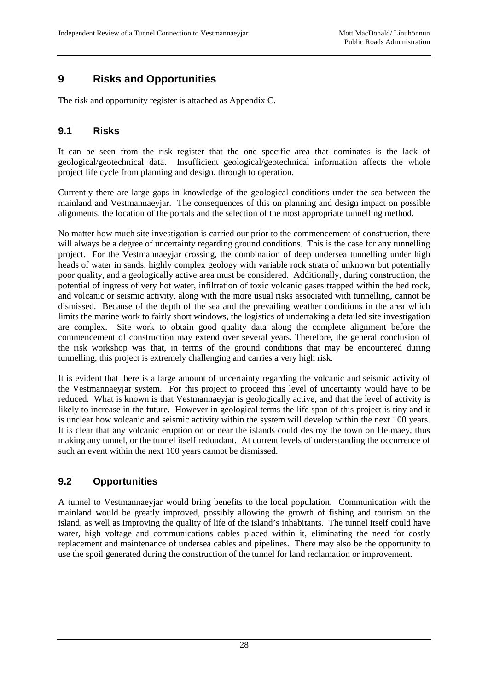# **9 Risks and Opportunities**

The risk and opportunity register is attached as Appendix C.

#### **9.1 Risks**

It can be seen from the risk register that the one specific area that dominates is the lack of geological/geotechnical data. Insufficient geological/geotechnical information affects the whole project life cycle from planning and design, through to operation.

Currently there are large gaps in knowledge of the geological conditions under the sea between the mainland and Vestmannaeyjar. The consequences of this on planning and design impact on possible alignments, the location of the portals and the selection of the most appropriate tunnelling method.

No matter how much site investigation is carried our prior to the commencement of construction, there will always be a degree of uncertainty regarding ground conditions. This is the case for any tunnelling project. For the Vestmannaeyjar crossing, the combination of deep undersea tunnelling under high heads of water in sands, highly complex geology with variable rock strata of unknown but potentially poor quality, and a geologically active area must be considered. Additionally, during construction, the potential of ingress of very hot water, infiltration of toxic volcanic gases trapped within the bed rock, and volcanic or seismic activity, along with the more usual risks associated with tunnelling, cannot be dismissed. Because of the depth of the sea and the prevailing weather conditions in the area which limits the marine work to fairly short windows, the logistics of undertaking a detailed site investigation are complex. Site work to obtain good quality data along the complete alignment before the commencement of construction may extend over several years. Therefore, the general conclusion of the risk workshop was that, in terms of the ground conditions that may be encountered during tunnelling, this project is extremely challenging and carries a very high risk.

It is evident that there is a large amount of uncertainty regarding the volcanic and seismic activity of the Vestmannaeyjar system. For this project to proceed this level of uncertainty would have to be reduced. What is known is that Vestmannaeyjar is geologically active, and that the level of activity is likely to increase in the future. However in geological terms the life span of this project is tiny and it is unclear how volcanic and seismic activity within the system will develop within the next 100 years. It is clear that any volcanic eruption on or near the islands could destroy the town on Heimaey, thus making any tunnel, or the tunnel itself redundant. At current levels of understanding the occurrence of such an event within the next 100 years cannot be dismissed.

#### **9.2 Opportunities**

A tunnel to Vestmannaeyjar would bring benefits to the local population. Communication with the mainland would be greatly improved, possibly allowing the growth of fishing and tourism on the island, as well as improving the quality of life of the island's inhabitants. The tunnel itself could have water, high voltage and communications cables placed within it, eliminating the need for costly replacement and maintenance of undersea cables and pipelines. There may also be the opportunity to use the spoil generated during the construction of the tunnel for land reclamation or improvement.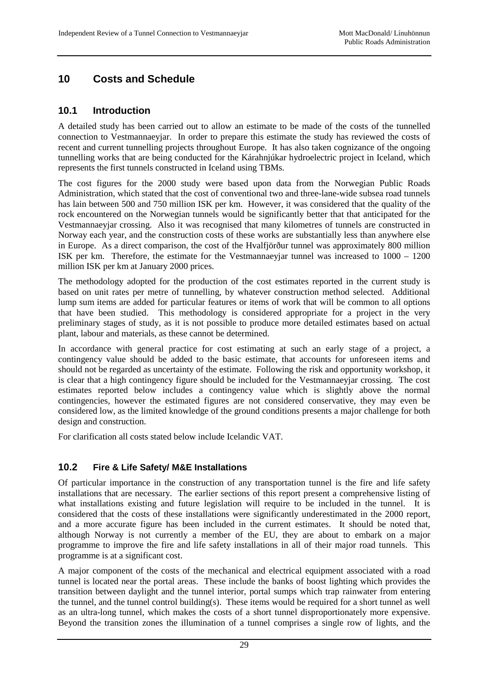# **10 Costs and Schedule**

#### **10.1 Introduction**

A detailed study has been carried out to allow an estimate to be made of the costs of the tunnelled connection to Vestmannaeyjar. In order to prepare this estimate the study has reviewed the costs of recent and current tunnelling projects throughout Europe. It has also taken cognizance of the ongoing tunnelling works that are being conducted for the Kárahnjúkar hydroelectric project in Iceland, which represents the first tunnels constructed in Iceland using TBMs.

The cost figures for the 2000 study were based upon data from the Norwegian Public Roads Administration, which stated that the cost of conventional two and three-lane-wide subsea road tunnels has lain between 500 and 750 million ISK per km. However, it was considered that the quality of the rock encountered on the Norwegian tunnels would be significantly better that that anticipated for the Vestmannaeyjar crossing. Also it was recognised that many kilometres of tunnels are constructed in Norway each year, and the construction costs of these works are substantially less than anywhere else in Europe. As a direct comparison, the cost of the Hvalfjörður tunnel was approximately 800 million ISK per km. Therefore, the estimate for the Vestmannaeyjar tunnel was increased to 1000 – 1200 million ISK per km at January 2000 prices.

The methodology adopted for the production of the cost estimates reported in the current study is based on unit rates per metre of tunnelling, by whatever construction method selected. Additional lump sum items are added for particular features or items of work that will be common to all options that have been studied. This methodology is considered appropriate for a project in the very preliminary stages of study, as it is not possible to produce more detailed estimates based on actual plant, labour and materials, as these cannot be determined.

In accordance with general practice for cost estimating at such an early stage of a project, a contingency value should be added to the basic estimate, that accounts for unforeseen items and should not be regarded as uncertainty of the estimate. Following the risk and opportunity workshop, it is clear that a high contingency figure should be included for the Vestmannaeyjar crossing. The cost estimates reported below includes a contingency value which is slightly above the normal contingencies, however the estimated figures are not considered conservative, they may even be considered low, as the limited knowledge of the ground conditions presents a major challenge for both design and construction.

For clarification all costs stated below include Icelandic VAT.

#### **10.2 Fire & Life Safety/ M&E Installations**

Of particular importance in the construction of any transportation tunnel is the fire and life safety installations that are necessary. The earlier sections of this report present a comprehensive listing of what installations existing and future legislation will require to be included in the tunnel. It is considered that the costs of these installations were significantly underestimated in the 2000 report, and a more accurate figure has been included in the current estimates. It should be noted that, although Norway is not currently a member of the EU, they are about to embark on a major programme to improve the fire and life safety installations in all of their major road tunnels. This programme is at a significant cost.

A major component of the costs of the mechanical and electrical equipment associated with a road tunnel is located near the portal areas. These include the banks of boost lighting which provides the transition between daylight and the tunnel interior, portal sumps which trap rainwater from entering the tunnel, and the tunnel control building(s). These items would be required for a short tunnel as well as an ultra-long tunnel, which makes the costs of a short tunnel disproportionately more expensive. Beyond the transition zones the illumination of a tunnel comprises a single row of lights, and the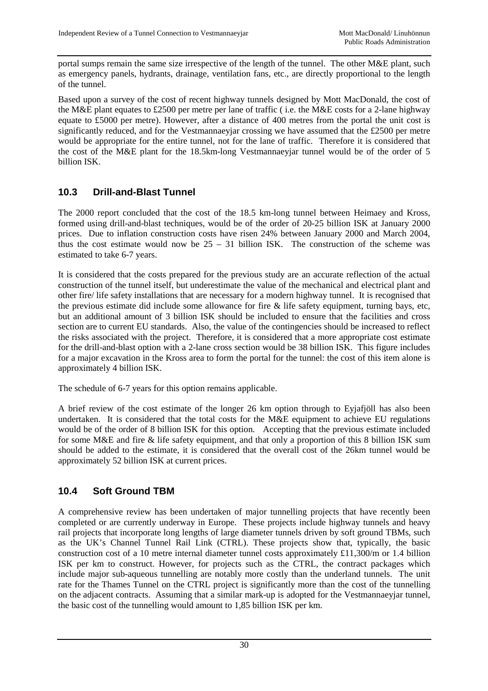portal sumps remain the same size irrespective of the length of the tunnel. The other M&E plant, such as emergency panels, hydrants, drainage, ventilation fans, etc., are directly proportional to the length of the tunnel.

Based upon a survey of the cost of recent highway tunnels designed by Mott MacDonald, the cost of the M&E plant equates to £2500 per metre per lane of traffic ( i.e. the M&E costs for a 2-lane highway equate to £5000 per metre). However, after a distance of 400 metres from the portal the unit cost is significantly reduced, and for the Vestmannaeyjar crossing we have assumed that the £2500 per metre would be appropriate for the entire tunnel, not for the lane of traffic. Therefore it is considered that the cost of the M&E plant for the 18.5km-long Vestmannaeyjar tunnel would be of the order of 5 billion ISK.

#### **10.3 Drill-and-Blast Tunnel**

The 2000 report concluded that the cost of the 18.5 km-long tunnel between Heimaey and Kross, formed using drill-and-blast techniques, would be of the order of 20-25 billion ISK at January 2000 prices. Due to inflation construction costs have risen 24% between January 2000 and March 2004, thus the cost estimate would now be  $25 - 31$  billion ISK. The construction of the scheme was estimated to take 6-7 years.

It is considered that the costs prepared for the previous study are an accurate reflection of the actual construction of the tunnel itself, but underestimate the value of the mechanical and electrical plant and other fire/ life safety installations that are necessary for a modern highway tunnel. It is recognised that the previous estimate did include some allowance for fire & life safety equipment, turning bays, etc, but an additional amount of 3 billion ISK should be included to ensure that the facilities and cross section are to current EU standards. Also, the value of the contingencies should be increased to reflect the risks associated with the project. Therefore, it is considered that a more appropriate cost estimate for the drill-and-blast option with a 2-lane cross section would be 38 billion ISK. This figure includes for a major excavation in the Kross area to form the portal for the tunnel: the cost of this item alone is approximately 4 billion ISK.

The schedule of 6-7 years for this option remains applicable.

A brief review of the cost estimate of the longer 26 km option through to Eyjafjöll has also been undertaken. It is considered that the total costs for the  $M\&E$  equipment to achieve EU regulations would be of the order of 8 billion ISK for this option. Accepting that the previous estimate included for some M&E and fire & life safety equipment, and that only a proportion of this 8 billion ISK sum should be added to the estimate, it is considered that the overall cost of the 26km tunnel would be approximately 52 billion ISK at current prices.

### **10.4 Soft Ground TBM**

A comprehensive review has been undertaken of major tunnelling projects that have recently been completed or are currently underway in Europe. These projects include highway tunnels and heavy rail projects that incorporate long lengths of large diameter tunnels driven by soft ground TBMs, such as the UK's Channel Tunnel Rail Link (CTRL). These projects show that, typically, the basic construction cost of a 10 metre internal diameter tunnel costs approximately £11,300/m or 1.4 billion ISK per km to construct. However, for projects such as the CTRL, the contract packages which include major sub-aqueous tunnelling are notably more costly than the underland tunnels. The unit rate for the Thames Tunnel on the CTRL project is significantly more than the cost of the tunnelling on the adjacent contracts. Assuming that a similar mark-up is adopted for the Vestmannaeyjar tunnel, the basic cost of the tunnelling would amount to 1,85 billion ISK per km.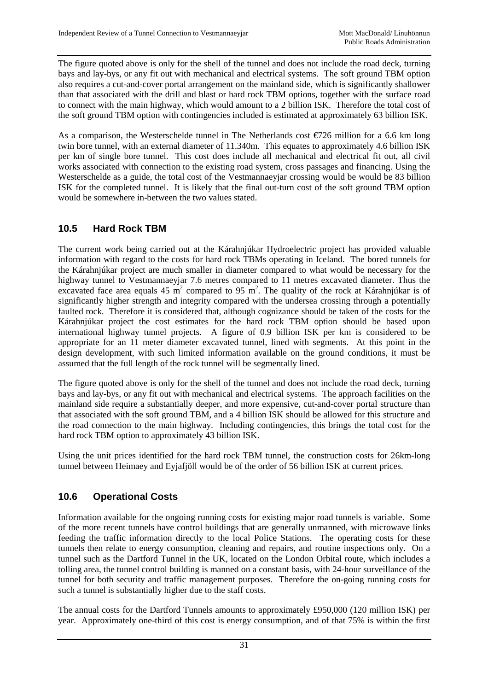The figure quoted above is only for the shell of the tunnel and does not include the road deck, turning bays and lay-bys, or any fit out with mechanical and electrical systems. The soft ground TBM option also requires a cut-and-cover portal arrangement on the mainland side, which is significantly shallower than that associated with the drill and blast or hard rock TBM options, together with the surface road to connect with the main highway, which would amount to a 2 billion ISK. Therefore the total cost of the soft ground TBM option with contingencies included is estimated at approximately 63 billion ISK.

As a comparison, the Westerschelde tunnel in The Netherlands cost  $\epsilon/26$  million for a 6.6 km long twin bore tunnel, with an external diameter of 11.340m. This equates to approximately 4.6 billion ISK per km of single bore tunnel. This cost does include all mechanical and electrical fit out, all civil works associated with connection to the existing road system, cross passages and financing. Using the Westerschelde as a guide, the total cost of the Vestmannaeyjar crossing would be would be 83 billion ISK for the completed tunnel. It is likely that the final out-turn cost of the soft ground TBM option would be somewhere in-between the two values stated.

#### **10.5 Hard Rock TBM**

The current work being carried out at the Kárahnjúkar Hydroelectric project has provided valuable information with regard to the costs for hard rock TBMs operating in Iceland. The bored tunnels for the Kárahnjúkar project are much smaller in diameter compared to what would be necessary for the highway tunnel to Vestmannaeyjar 7.6 metres compared to 11 metres excavated diameter. Thus the excavated face area equals 45  $\rm \overline{m}^2$  compared to 95  $\rm \overline{m}^2$ . The quality of the rock at Kárahnjúkar is of significantly higher strength and integrity compared with the undersea crossing through a potentially faulted rock. Therefore it is considered that, although cognizance should be taken of the costs for the Kárahnjúkar project the cost estimates for the hard rock TBM option should be based upon international highway tunnel projects. A figure of 0.9 billion ISK per km is considered to be appropriate for an 11 meter diameter excavated tunnel, lined with segments. At this point in the design development, with such limited information available on the ground conditions, it must be assumed that the full length of the rock tunnel will be segmentally lined.

The figure quoted above is only for the shell of the tunnel and does not include the road deck, turning bays and lay-bys, or any fit out with mechanical and electrical systems. The approach facilities on the mainland side require a substantially deeper, and more expensive, cut-and-cover portal structure than that associated with the soft ground TBM, and a 4 billion ISK should be allowed for this structure and the road connection to the main highway. Including contingencies, this brings the total cost for the hard rock TBM option to approximately 43 billion ISK.

Using the unit prices identified for the hard rock TBM tunnel, the construction costs for 26km-long tunnel between Heimaey and Eyjafjöll would be of the order of 56 billion ISK at current prices.

#### **10.6 Operational Costs**

Information available for the ongoing running costs for existing major road tunnels is variable. Some of the more recent tunnels have control buildings that are generally unmanned, with microwave links feeding the traffic information directly to the local Police Stations. The operating costs for these tunnels then relate to energy consumption, cleaning and repairs, and routine inspections only. On a tunnel such as the Dartford Tunnel in the UK, located on the London Orbital route, which includes a tolling area, the tunnel control building is manned on a constant basis, with 24-hour surveillance of the tunnel for both security and traffic management purposes. Therefore the on-going running costs for such a tunnel is substantially higher due to the staff costs.

The annual costs for the Dartford Tunnels amounts to approximately £950,000 (120 million ISK) per year. Approximately one-third of this cost is energy consumption, and of that 75% is within the first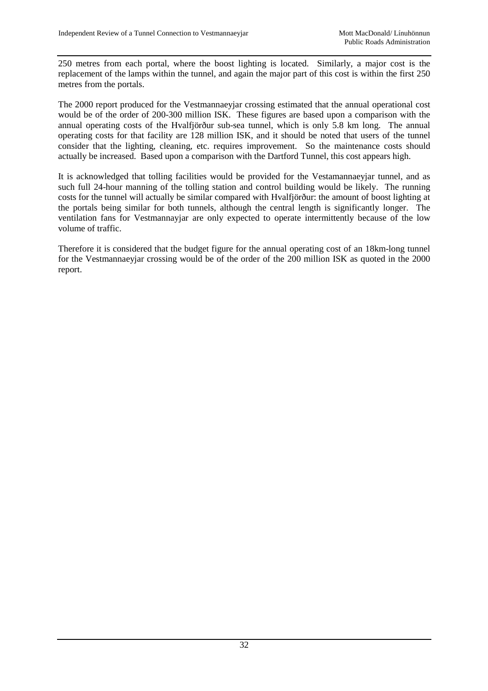250 metres from each portal, where the boost lighting is located. Similarly, a major cost is the replacement of the lamps within the tunnel, and again the major part of this cost is within the first 250 metres from the portals.

The 2000 report produced for the Vestmannaeyjar crossing estimated that the annual operational cost would be of the order of 200-300 million ISK. These figures are based upon a comparison with the annual operating costs of the Hvalfjörður sub-sea tunnel, which is only 5.8 km long. The annual operating costs for that facility are 128 million ISK, and it should be noted that users of the tunnel consider that the lighting, cleaning, etc. requires improvement. So the maintenance costs should actually be increased. Based upon a comparison with the Dartford Tunnel, this cost appears high.

It is acknowledged that tolling facilities would be provided for the Vestamannaeyjar tunnel, and as such full 24-hour manning of the tolling station and control building would be likely. The running costs for the tunnel will actually be similar compared with Hvalfjörður: the amount of boost lighting at the portals being similar for both tunnels, although the central length is significantly longer. The ventilation fans for Vestmannayjar are only expected to operate intermittently because of the low volume of traffic.

Therefore it is considered that the budget figure for the annual operating cost of an 18km-long tunnel for the Vestmannaeyjar crossing would be of the order of the 200 million ISK as quoted in the 2000 report.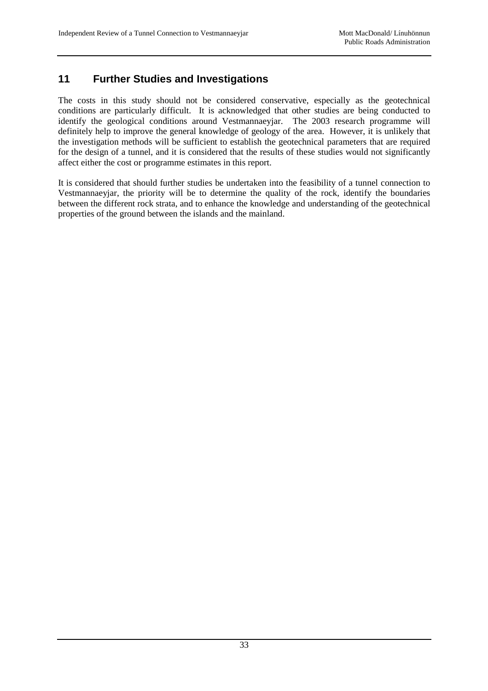# **11 Further Studies and Investigations**

The costs in this study should not be considered conservative, especially as the geotechnical conditions are particularly difficult. It is acknowledged that other studies are being conducted to identify the geological conditions around Vestmannaeyjar. The 2003 research programme will definitely help to improve the general knowledge of geology of the area. However, it is unlikely that the investigation methods will be sufficient to establish the geotechnical parameters that are required for the design of a tunnel, and it is considered that the results of these studies would not significantly affect either the cost or programme estimates in this report.

It is considered that should further studies be undertaken into the feasibility of a tunnel connection to Vestmannaeyjar, the priority will be to determine the quality of the rock, identify the boundaries between the different rock strata, and to enhance the knowledge and understanding of the geotechnical properties of the ground between the islands and the mainland.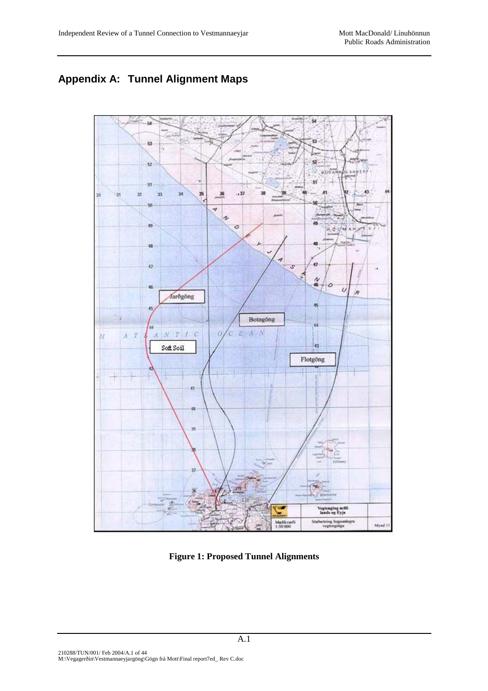# **Appendix A: Tunnel Alignment Maps**



**Figure 1: Proposed Tunnel Alignments**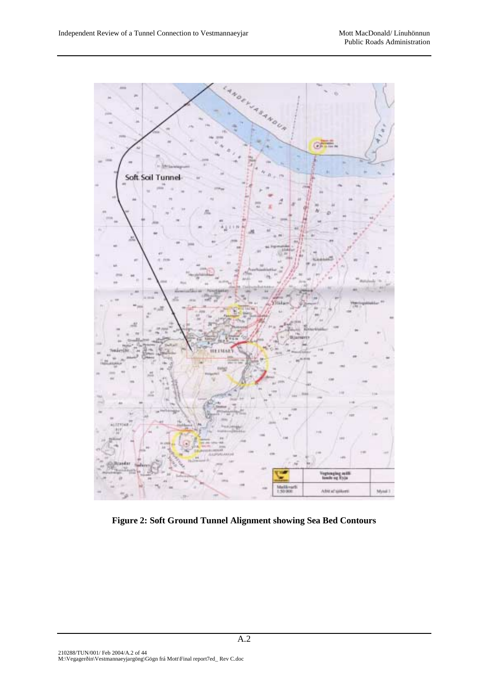

**Figure 2: Soft Ground Tunnel Alignment showing Sea Bed Contours**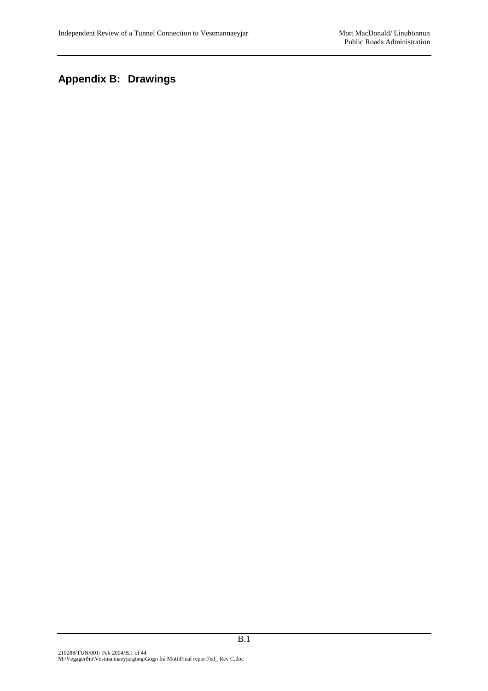# **Appendix B: Drawings**

B.1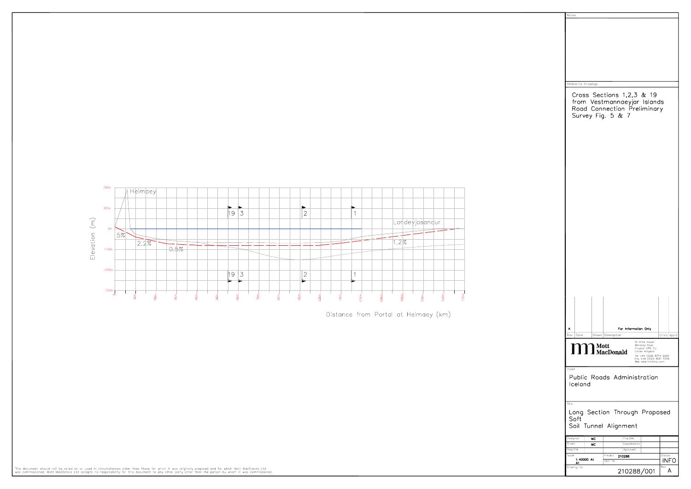

Distance from Portal at Heimaey (km)

| Reference Drawings<br>Cross Sections 1,2,3 & 19<br>from Vestmannaeyjar Islands<br>Road Connection Preliminary<br>Survey Fig. 5 & 7 |
|------------------------------------------------------------------------------------------------------------------------------------|
|                                                                                                                                    |
|                                                                                                                                    |
|                                                                                                                                    |
|                                                                                                                                    |
|                                                                                                                                    |
|                                                                                                                                    |
|                                                                                                                                    |
|                                                                                                                                    |
|                                                                                                                                    |
|                                                                                                                                    |
|                                                                                                                                    |
|                                                                                                                                    |
|                                                                                                                                    |
|                                                                                                                                    |
|                                                                                                                                    |
|                                                                                                                                    |
|                                                                                                                                    |
|                                                                                                                                    |
|                                                                                                                                    |
|                                                                                                                                    |
|                                                                                                                                    |
|                                                                                                                                    |
|                                                                                                                                    |
|                                                                                                                                    |
|                                                                                                                                    |
|                                                                                                                                    |
|                                                                                                                                    |
|                                                                                                                                    |
|                                                                                                                                    |
|                                                                                                                                    |
| For Information Only<br>Α<br>Rev<br>Dote<br>Description<br>Ch'k'd App'd<br>Drawn                                                   |
| St Anne House<br>Wellesley Road<br>Croydon CR9 2UL                                                                                 |
| Mott<br>MacDonald<br>$\mathbf{N}$<br>United Kingdom<br>Tel +44 (0)20 8774 2000<br>Fax +44 (0)20 8681 5706                          |
| Web www.mottmac.com                                                                                                                |
| Client<br>Public Roads Administration                                                                                              |
| Iceland                                                                                                                            |
|                                                                                                                                    |
| Title                                                                                                                              |
| Long Section Through Proposed                                                                                                      |
|                                                                                                                                    |
| Soft                                                                                                                               |
| Soil Tunnel Alignment                                                                                                              |
| Designed<br>Eng.Chk.<br>мC<br>Drown<br>Coordination<br>мC                                                                          |
| Dwg.Chk.<br>Approved<br>Status<br>Scale<br>Project                                                                                 |
| 210288<br>1:40000 At<br>INFO<br>CAD file<br>A1<br>Rev<br>Drawing No                                                                |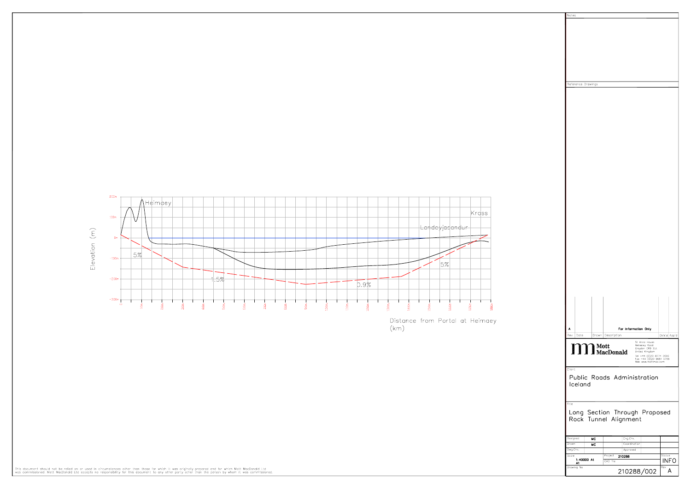

| Notes                                                                     |                       |
|---------------------------------------------------------------------------|-----------------------|
|                                                                           |                       |
|                                                                           |                       |
|                                                                           |                       |
|                                                                           |                       |
|                                                                           |                       |
|                                                                           |                       |
|                                                                           |                       |
|                                                                           |                       |
| Reference Drawings                                                        |                       |
|                                                                           |                       |
|                                                                           |                       |
|                                                                           |                       |
|                                                                           |                       |
|                                                                           |                       |
|                                                                           |                       |
|                                                                           |                       |
|                                                                           |                       |
|                                                                           |                       |
|                                                                           |                       |
|                                                                           |                       |
|                                                                           |                       |
|                                                                           |                       |
|                                                                           |                       |
|                                                                           |                       |
|                                                                           |                       |
|                                                                           |                       |
|                                                                           |                       |
|                                                                           |                       |
|                                                                           |                       |
|                                                                           |                       |
|                                                                           |                       |
|                                                                           |                       |
|                                                                           |                       |
|                                                                           |                       |
|                                                                           |                       |
|                                                                           |                       |
|                                                                           |                       |
|                                                                           |                       |
| A<br>For Information Only                                                 |                       |
| Rev<br>Drawn Description<br>Date                                          | Ch'k'd App'd          |
| St Anne House                                                             |                       |
| <b>M</b> Mott<br>Wellesley Road<br>Croydon CR9 2UL<br>United Kingdom      |                       |
| Tel +44 (0)20 8774 2000<br>Fax +44 (0)20 8681 5706<br>Web www.mottmac.com |                       |
| Client                                                                    |                       |
| Public Roads Administration                                               |                       |
| Iceland                                                                   |                       |
|                                                                           |                       |
| Title                                                                     |                       |
|                                                                           |                       |
| Long Section Through Proposed<br>Rock Tunnel Alignment                    |                       |
|                                                                           |                       |
| Eng.Chk.<br>Designed<br>мC                                                |                       |
| Drawn<br>Coordination<br>MC                                               |                       |
| Dwg.Chk.<br>Approved                                                      |                       |
| Scole<br>Project<br>210288<br>1:40000 At<br>CAD file                      | Status<br><b>INFO</b> |
| A1<br>Drawing No<br>210288/002                                            | Rev<br>A              |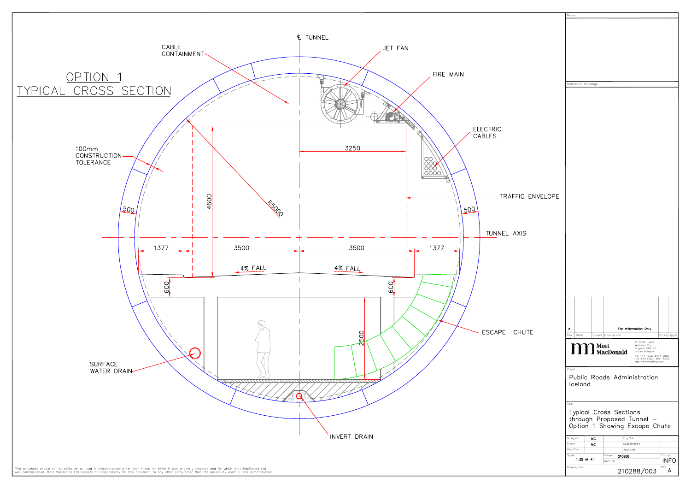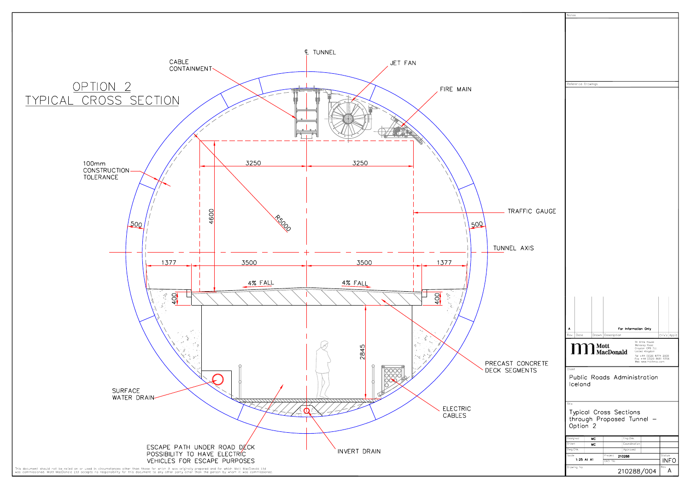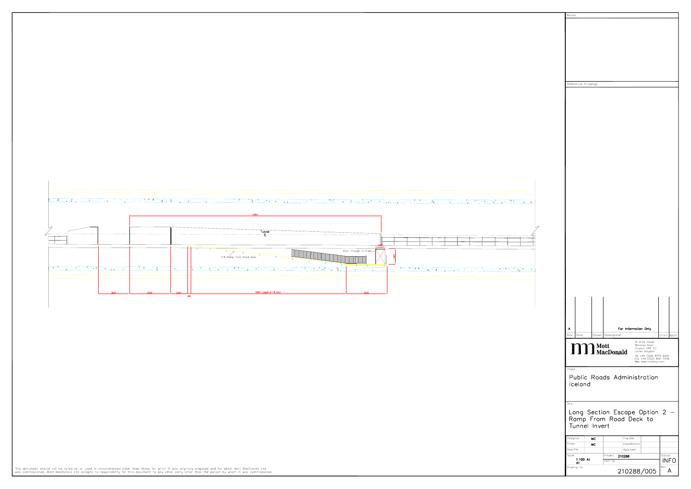

This document should not be relied on or used in circumstances other than those for which it was originally prepared and for which Mott MacDonald Ltd<br>was commissioned. Mott MacDonald Ltd accepts no responsibility for this

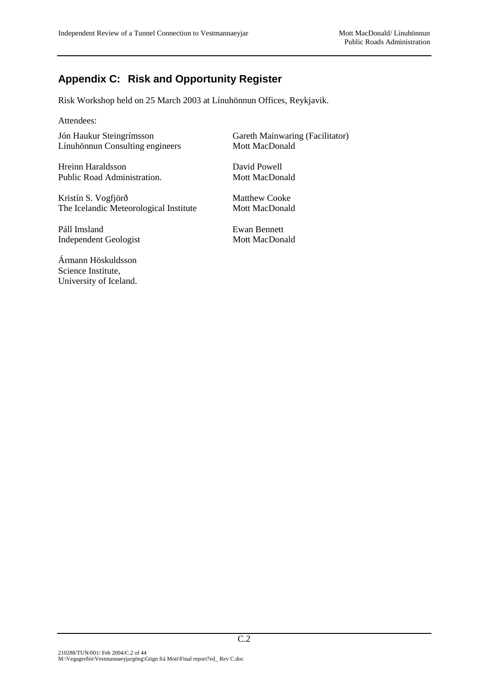### **Appendix C: Risk and Opportunity Register**

Risk Workshop held on 25 March 2003 at Línuhönnun Offices, Reykjavik.

Attendees:

Jón Haukur Steingrímsson Gareth Mainwaring (Facilitator) Línuhönnun Consulting engineers Mott MacDonald

Hreinn Haraldsson David Powell Public Road Administration. Mott MacDonald

Kristín S. Vogfjörð Matthew Cooke The Icelandic Meteorological Institute Mott MacDonald

Páll Imsland Ewan Bennett Independent Geologist Mott MacDonald

Ármann Höskuldsson Science Institute, University of Iceland.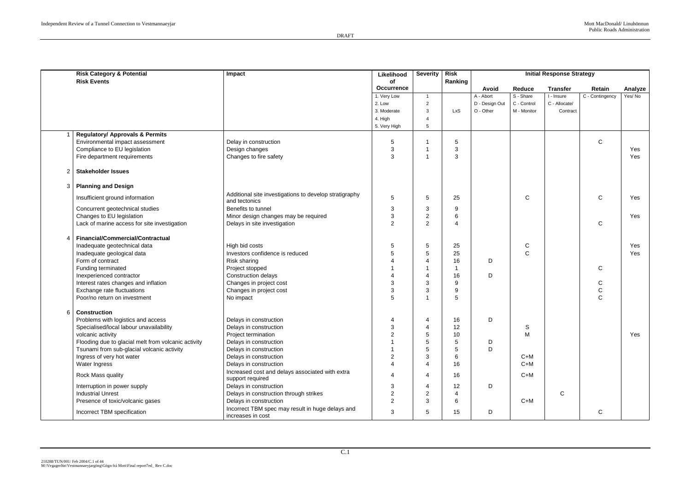|                | <b>Risk Category &amp; Potential</b><br><b>Risk Events</b> | Impact                                                                  | Likelihood<br>of  | <b>Severity</b> | <b>Risk</b><br>Ranking |                |              | <b>Initial Response Strategy</b> |                 |         |
|----------------|------------------------------------------------------------|-------------------------------------------------------------------------|-------------------|-----------------|------------------------|----------------|--------------|----------------------------------|-----------------|---------|
|                |                                                            |                                                                         | <b>Occurrence</b> |                 |                        | Avoid          | Reduce       | <b>Transfer</b>                  | Retain          | Analyze |
|                |                                                            |                                                                         | 1. Very Low       |                 |                        | A - Abort      | S - Share    | I - Insure                       | C - Contingency | Yes/No  |
|                |                                                            |                                                                         | 2. Low            | $\overline{2}$  |                        | D - Design Out | C - Control  | C - Allocate/                    |                 |         |
|                |                                                            |                                                                         | 3. Moderate       | 3               | LxS                    | O - Other      | M - Monitor  | Contract                         |                 |         |
|                |                                                            |                                                                         | 4. High           |                 |                        |                |              |                                  |                 |         |
|                |                                                            |                                                                         | 5. Very High      | 5               |                        |                |              |                                  |                 |         |
|                | <b>Regulatory/ Approvals &amp; Permits</b>                 |                                                                         |                   |                 |                        |                |              |                                  |                 |         |
|                | Environmental impact assessment                            | Delay in construction                                                   | 5                 |                 | 5                      |                |              |                                  | $\mathsf{C}$    |         |
|                | Compliance to EU legislation                               | Design changes                                                          | 3                 |                 | 3                      |                |              |                                  |                 | Yes     |
|                | Fire department requirements                               | Changes to fire safety                                                  | 3                 |                 | 3                      |                |              |                                  |                 | Yes     |
|                |                                                            |                                                                         |                   |                 |                        |                |              |                                  |                 |         |
| $\overline{2}$ | <b>Stakeholder Issues</b>                                  |                                                                         |                   |                 |                        |                |              |                                  |                 |         |
|                | 3 Planning and Design                                      |                                                                         |                   |                 |                        |                |              |                                  |                 |         |
|                | Insufficient ground information                            | Additional site investigations to develop stratigraphy<br>and tectonics | 5                 | $5\phantom{.0}$ | 25                     |                | $\mathsf{C}$ |                                  | $\mathsf{C}$    | Yes     |
|                | Concurrent geotechnical studies                            | Benefits to tunnel                                                      | 3                 | 3               | 9                      |                |              |                                  |                 |         |
|                | Changes to EU legislation                                  | Minor design changes may be required                                    | 3                 | $\overline{2}$  | 6                      |                |              |                                  |                 | Yes     |
|                | Lack of marine access for site investigation               | Delays in site investigation                                            | $\overline{2}$    | 2               | 4                      |                |              |                                  | $\mathsf{C}$    |         |
| 4              | <b>Financial/Commercial/Contractual</b>                    |                                                                         |                   |                 |                        |                |              |                                  |                 |         |
|                | Inadequate geotechnical data                               | High bid costs                                                          | 5                 | 5               | 25                     |                | ${\bf C}$    |                                  |                 | Yes     |
|                | Inadequate geological data                                 | Investors confidence is reduced                                         |                   | 5               | 25                     |                | $\mathsf{C}$ |                                  |                 | Yes     |
|                | Form of contract                                           | Risk sharing                                                            |                   |                 | 16                     | D              |              |                                  |                 |         |
|                | Funding terminated                                         | Project stopped                                                         |                   |                 |                        |                |              |                                  | $\mathsf{C}$    |         |
|                | Inexperienced contractor                                   | Construction delays                                                     |                   |                 | 16                     | D              |              |                                  |                 |         |
|                | Interest rates changes and inflation                       | Changes in project cost                                                 | 3                 | 3               | 9                      |                |              |                                  | $\mathsf C$     |         |
|                | Exchange rate fluctuations                                 | Changes in project cost                                                 | 3                 | 3               | 9                      |                |              |                                  | ${\bf C}$       |         |
|                | Poor/no return on investment                               | No impact                                                               |                   |                 | 5                      |                |              |                                  | $\mathsf{C}$    |         |
|                |                                                            |                                                                         |                   |                 |                        |                |              |                                  |                 |         |
| 6              | <b>Construction</b>                                        |                                                                         |                   |                 |                        |                |              |                                  |                 |         |
|                | Problems with logistics and access                         | Delays in construction                                                  |                   |                 | 16                     | D              |              |                                  |                 |         |
|                | Specialised/local labour unavailability                    | Delays in construction                                                  | ર                 |                 | 12                     |                | S            |                                  |                 |         |
|                | volcanic activity                                          | Project termination                                                     | $\overline{2}$    | 5               | 10                     |                | M            |                                  |                 | Yes     |
|                | Flooding due to glacial melt from volcanic activity        | Delays in construction                                                  |                   |                 |                        | D              |              |                                  |                 |         |
|                | Tsunami from sub-glacial volcanic activity                 | Delays in construction                                                  |                   |                 | 5                      | D              |              |                                  |                 |         |
|                | Ingress of very hot water                                  | Delays in construction                                                  |                   | 3               | 6                      |                | $C+M$        |                                  |                 |         |
|                | Water Ingress                                              | Delays in construction                                                  |                   |                 | 16                     |                | $C+M$        |                                  |                 |         |
|                | Rock Mass quality                                          | Increased cost and delays associated with extra<br>support required     |                   | 4               | 16                     |                | $C+M$        |                                  |                 |         |
|                | Interruption in power supply                               | Delays in construction                                                  | 3                 |                 | 12                     | D              |              |                                  |                 |         |
|                | <b>Industrial Unrest</b>                                   | Delays in construction through strikes                                  |                   | $\overline{2}$  |                        |                |              | $\mathsf{C}$                     |                 |         |
|                | Presence of toxic/volcanic gases                           | Delays in construction                                                  | $\overline{2}$    | 3               | 6                      |                | $C+M$        |                                  |                 |         |
|                | Incorrect TBM specification                                | Incorrect TBM spec may result in huge delays and<br>increases in cost   | 3                 | $5\phantom{.0}$ | 15                     | D              |              |                                  | ${\bf C}$       |         |